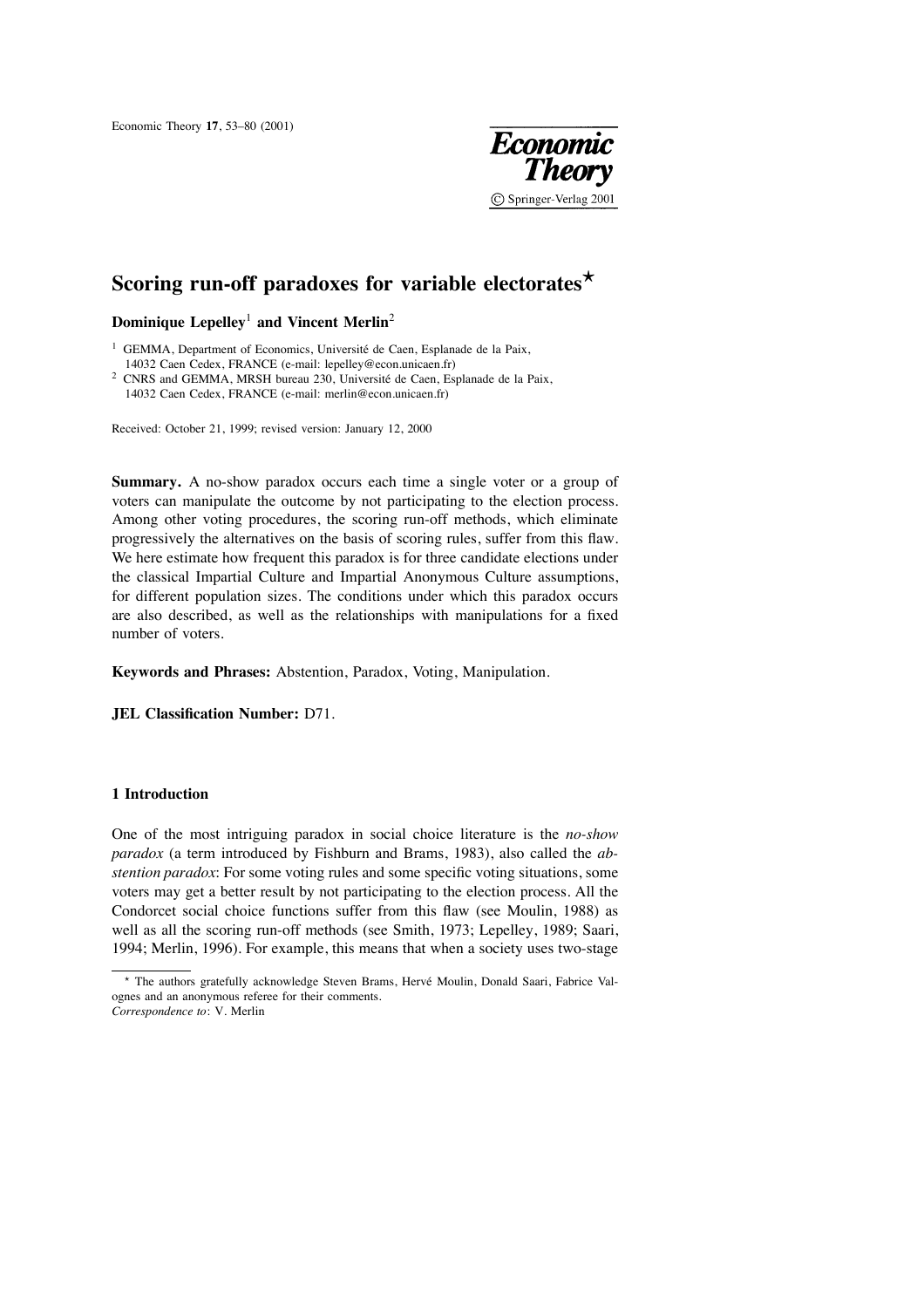Economic Theory **17**, 53–80 (2001)



# **Scoring run-off paradoxes for variable electorates**!

**Dominique Lepelley**<sup>1</sup> **and Vincent Merlin**<sup>2</sup>

 $1$  GEMMA, Department of Economics, Université de Caen, Esplanade de la Paix, 14032 Caen Cedex, FRANCE (e-mail: lepelley@econ.unicaen.fr)

 $2$  CNRS and GEMMA, MRSH bureau 230, Université de Caen, Esplanade de la Paix, 14032 Caen Cedex, FRANCE (e-mail: merlin@econ.unicaen.fr)

Received: October 21, 1999; revised version: January 12, 2000

**Summary.** A no-show paradox occurs each time a single voter or a group of voters can manipulate the outcome by not participating to the election process. Among other voting procedures, the scoring run-off methods, which eliminate progressively the alternatives on the basis of scoring rules, suffer from this flaw. We here estimate how frequent this paradox is for three candidate elections under the classical Impartial Culture and Impartial Anonymous Culture assumptions, for different population sizes. The conditions under which this paradox occurs are also described, as well as the relationships with manipulations for a fixed number of voters.

**Keywords and Phrases:** Abstention, Paradox, Voting, Manipulation.

**JEL Classification Number:** D71.

## **1 Introduction**

One of the most intriguing paradox in social choice literature is the *no-show paradox* (a term introduced by Fishburn and Brams, 1983), also called the *abstention paradox*: For some voting rules and some specific voting situations, some voters may get a better result by not participating to the election process. All the Condorcet social choice functions suffer from this flaw (see Moulin, 1988) as well as all the scoring run-off methods (see Smith, 1973; Lepelley, 1989; Saari, 1994; Merlin, 1996). For example, this means that when a society uses two-stage

<sup>\*</sup> The authors gratefully acknowledge Steven Brams, Hervé Moulin, Donald Saari, Fabrice Valognes and an anonymous referee for their comments. *Correspondence to*: V. Merlin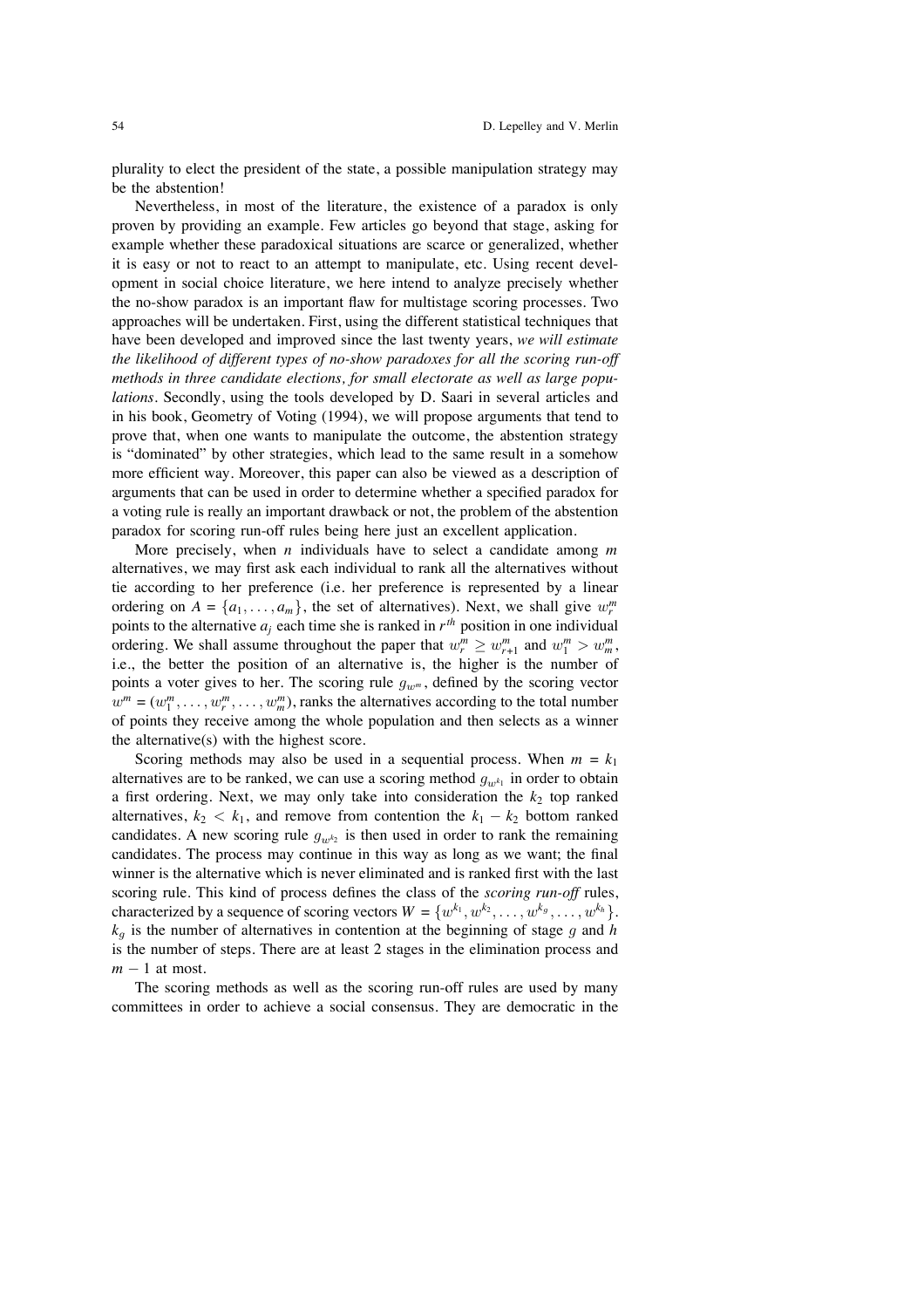plurality to elect the president of the state, a possible manipulation strategy may be the abstention!

Nevertheless, in most of the literature, the existence of a paradox is only proven by providing an example. Few articles go beyond that stage, asking for example whether these paradoxical situations are scarce or generalized, whether it is easy or not to react to an attempt to manipulate, etc. Using recent development in social choice literature, we here intend to analyze precisely whether the no-show paradox is an important flaw for multistage scoring processes. Two approaches will be undertaken. First, using the different statistical techniques that have been developed and improved since the last twenty years, *we will estimate the likelihood of different types of no-show paradoxes for all the scoring run-off methods in three candidate elections, for small electorate as well as large populations*. Secondly, using the tools developed by D. Saari in several articles and in his book, Geometry of Voting (1994), we will propose arguments that tend to prove that, when one wants to manipulate the outcome, the abstention strategy is "dominated" by other strategies, which lead to the same result in a somehow more efficient way. Moreover, this paper can also be viewed as a description of arguments that can be used in order to determine whether a specified paradox for a voting rule is really an important drawback or not, the problem of the abstention paradox for scoring run-off rules being here just an excellent application.

More precisely, when *n* individuals have to select a candidate among *m* alternatives, we may first ask each individual to rank all the alternatives without tie according to her preference (i.e. her preference is represented by a linear ordering on  $A = \{a_1, \ldots, a_m\}$ , the set of alternatives). Next, we shall give  $w_r^m$ points to the alternative  $a_i$  each time she is ranked in  $r^{th}$  position in one individual ordering. We shall assume throughout the paper that  $w_r^m \geq w_{r+1}^m$  and  $w_1^m > w_m^m$ , i.e., the better the position of an alternative is, the higher is the number of points a voter gives to her. The scoring rule  $g_{w^m}$ , defined by the scoring vector  $w^m = (w_1^m, \dots, w_r^m, \dots, w_m^m)$ , ranks the alternatives according to the total number of points they receive among the whole population and then selects as a winner the alternative(s) with the highest score.

Scoring methods may also be used in a sequential process. When  $m = k_1$ alternatives are to be ranked, we can use a scoring method  $g_{w<sup>k</sup>1}$  in order to obtain a first ordering. Next, we may only take into consideration the  $k_2$  top ranked alternatives,  $k_2 < k_1$ , and remove from contention the  $k_1 - k_2$  bottom ranked candidates. A new scoring rule  $g_{w^k}$  is then used in order to rank the remaining candidates. The process may continue in this way as long as we want; the final winner is the alternative which is never eliminated and is ranked first with the last scoring rule. This kind of process defines the class of the *scoring run-off* rules, characterized by a sequence of scoring vectors  $W = \{w^{k_1}, w^{k_2}, \dots, w^{k_g}, \dots, w^{k_h}\}.$  $k_q$  is the number of alternatives in contention at the beginning of stage  $g$  and  $h$ is the number of steps. There are at least 2 stages in the elimination process and  $m - 1$  at most.

The scoring methods as well as the scoring run-off rules are used by many committees in order to achieve a social consensus. They are democratic in the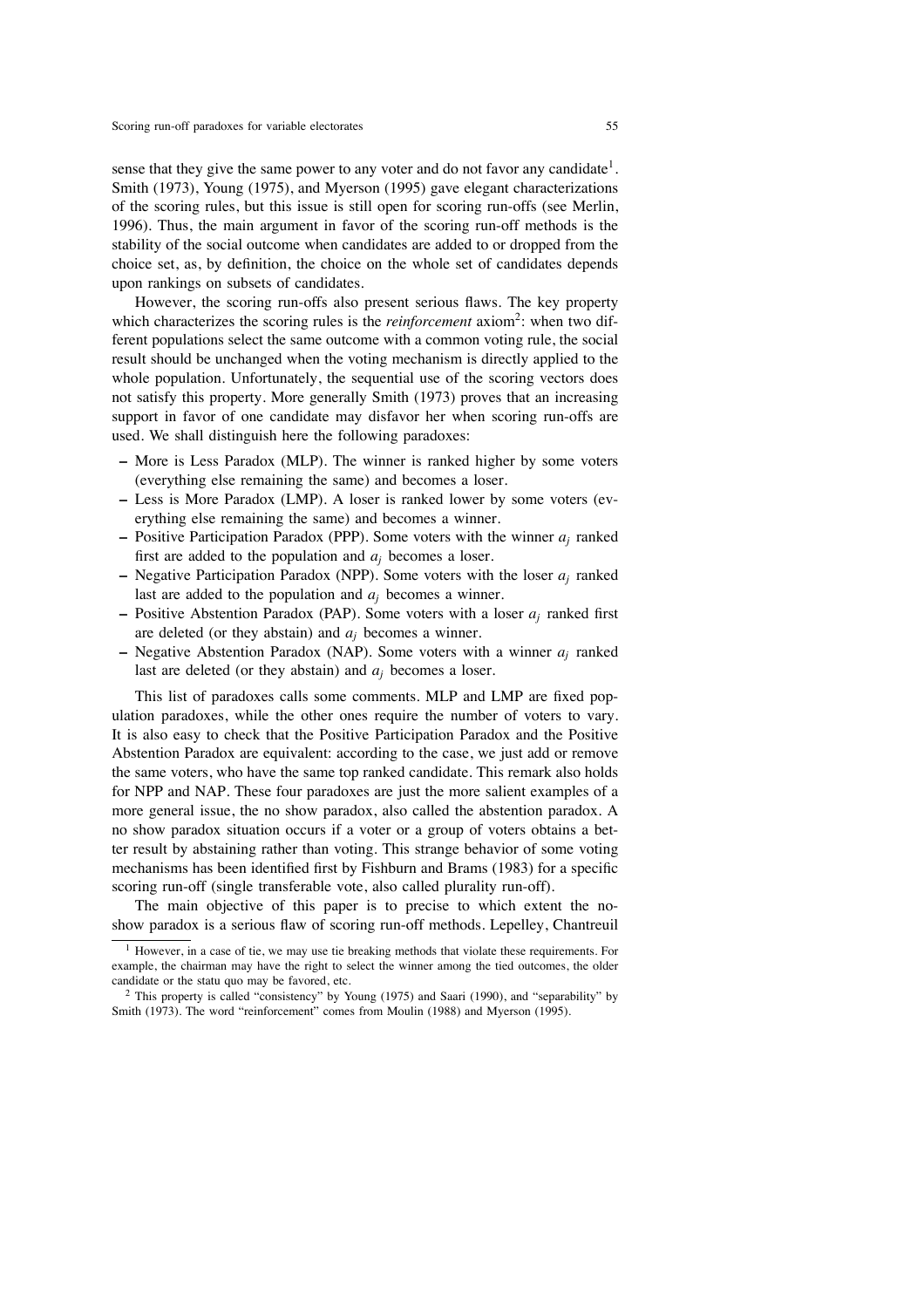sense that they give the same power to any voter and do not favor any candidate<sup>1</sup>. Smith (1973), Young (1975), and Myerson (1995) gave elegant characterizations of the scoring rules, but this issue is still open for scoring run-offs (see Merlin, 1996). Thus, the main argument in favor of the scoring run-off methods is the stability of the social outcome when candidates are added to or dropped from the choice set, as, by definition, the choice on the whole set of candidates depends upon rankings on subsets of candidates.

However, the scoring run-offs also present serious flaws. The key property which characterizes the scoring rules is the *reinforcement* axiom<sup>2</sup>: when two different populations select the same outcome with a common voting rule, the social result should be unchanged when the voting mechanism is directly applied to the whole population. Unfortunately, the sequential use of the scoring vectors does not satisfy this property. More generally Smith (1973) proves that an increasing support in favor of one candidate may disfavor her when scoring run-offs are used. We shall distinguish here the following paradoxes:

- **–** More is Less Paradox (MLP). The winner is ranked higher by some voters (everything else remaining the same) and becomes a loser.
- **–** Less is More Paradox (LMP). A loser is ranked lower by some voters (everything else remaining the same) and becomes a winner.
- **–** Positive Participation Paradox (PPP). Some voters with the winner *aj* ranked first are added to the population and *aj* becomes a loser.
- **–** Negative Participation Paradox (NPP). Some voters with the loser *aj* ranked last are added to the population and *aj* becomes a winner.
- **–** Positive Abstention Paradox (PAP). Some voters with a loser *aj* ranked first are deleted (or they abstain) and *aj* becomes a winner.
- **–** Negative Abstention Paradox (NAP). Some voters with a winner *aj* ranked last are deleted (or they abstain) and *aj* becomes a loser.

This list of paradoxes calls some comments. MLP and LMP are fixed population paradoxes, while the other ones require the number of voters to vary. It is also easy to check that the Positive Participation Paradox and the Positive Abstention Paradox are equivalent: according to the case, we just add or remove the same voters, who have the same top ranked candidate. This remark also holds for NPP and NAP. These four paradoxes are just the more salient examples of a more general issue, the no show paradox, also called the abstention paradox. A no show paradox situation occurs if a voter or a group of voters obtains a better result by abstaining rather than voting. This strange behavior of some voting mechanisms has been identified first by Fishburn and Brams (1983) for a specific scoring run-off (single transferable vote, also called plurality run-off).

The main objective of this paper is to precise to which extent the noshow paradox is a serious flaw of scoring run-off methods. Lepelley, Chantreuil

<sup>1</sup> However, in a case of tie, we may use tie breaking methods that violate these requirements. For example, the chairman may have the right to select the winner among the tied outcomes, the older candidate or the statu quo may be favored, etc.

 $2$  This property is called "consistency" by Young (1975) and Saari (1990), and "separability" by Smith (1973). The word "reinforcement" comes from Moulin (1988) and Myerson (1995).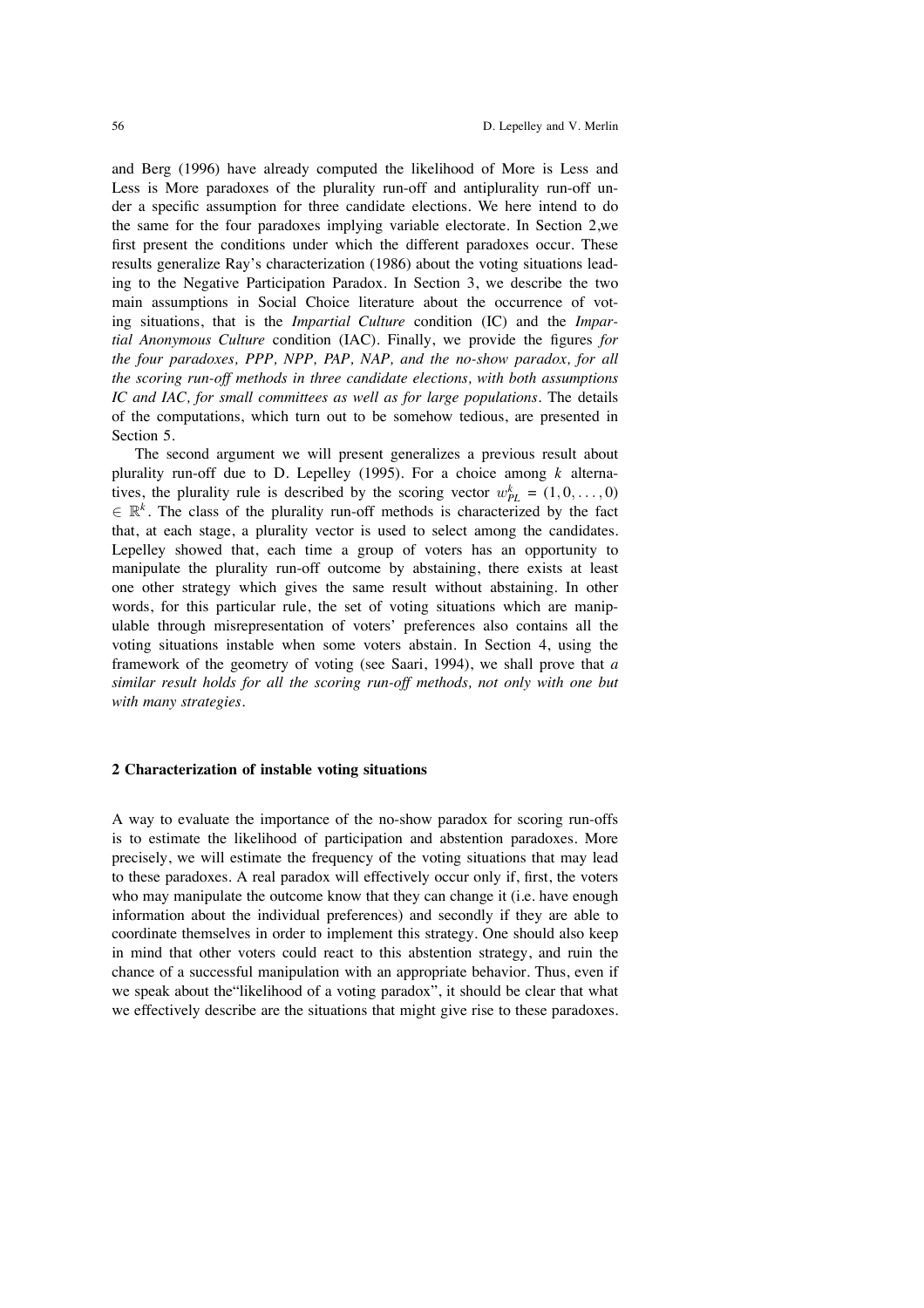and Berg (1996) have already computed the likelihood of More is Less and Less is More paradoxes of the plurality run-off and antiplurality run-off under a specific assumption for three candidate elections. We here intend to do the same for the four paradoxes implying variable electorate. In Section 2,we first present the conditions under which the different paradoxes occur. These results generalize Ray's characterization (1986) about the voting situations leading to the Negative Participation Paradox. In Section 3, we describe the two main assumptions in Social Choice literature about the occurrence of voting situations, that is the *Impartial Culture* condition (IC) and the *Impartial Anonymous Culture* condition (IAC). Finally, we provide the figures *for the four paradoxes, PPP, NPP, PAP, NAP, and the no-show paradox, for all the scoring run-off methods in three candidate elections, with both assumptions IC and IAC, for small committees as well as for large populations*. The details of the computations, which turn out to be somehow tedious, are presented in Section 5.

The second argument we will present generalizes a previous result about plurality run-off due to D. Lepelley (1995). For a choice among *k* alternatives, the plurality rule is described by the scoring vector  $w_{PL}^k = (1, 0, \ldots, 0)$  $\in \mathbb{R}^k$ . The class of the plurality run-off methods is characterized by the fact that, at each stage, a plurality vector is used to select among the candidates. Lepelley showed that, each time a group of voters has an opportunity to manipulate the plurality run-off outcome by abstaining, there exists at least one other strategy which gives the same result without abstaining. In other words, for this particular rule, the set of voting situations which are manipulable through misrepresentation of voters' preferences also contains all the voting situations instable when some voters abstain. In Section 4, using the framework of the geometry of voting (see Saari, 1994), we shall prove that *a similar result holds for all the scoring run-off methods, not only with one but with many strategies.*

## **2 Characterization of instable voting situations**

A way to evaluate the importance of the no-show paradox for scoring run-offs is to estimate the likelihood of participation and abstention paradoxes. More precisely, we will estimate the frequency of the voting situations that may lead to these paradoxes. A real paradox will effectively occur only if, first, the voters who may manipulate the outcome know that they can change it (i.e. have enough information about the individual preferences) and secondly if they are able to coordinate themselves in order to implement this strategy. One should also keep in mind that other voters could react to this abstention strategy, and ruin the chance of a successful manipulation with an appropriate behavior. Thus, even if we speak about the"likelihood of a voting paradox", it should be clear that what we effectively describe are the situations that might give rise to these paradoxes.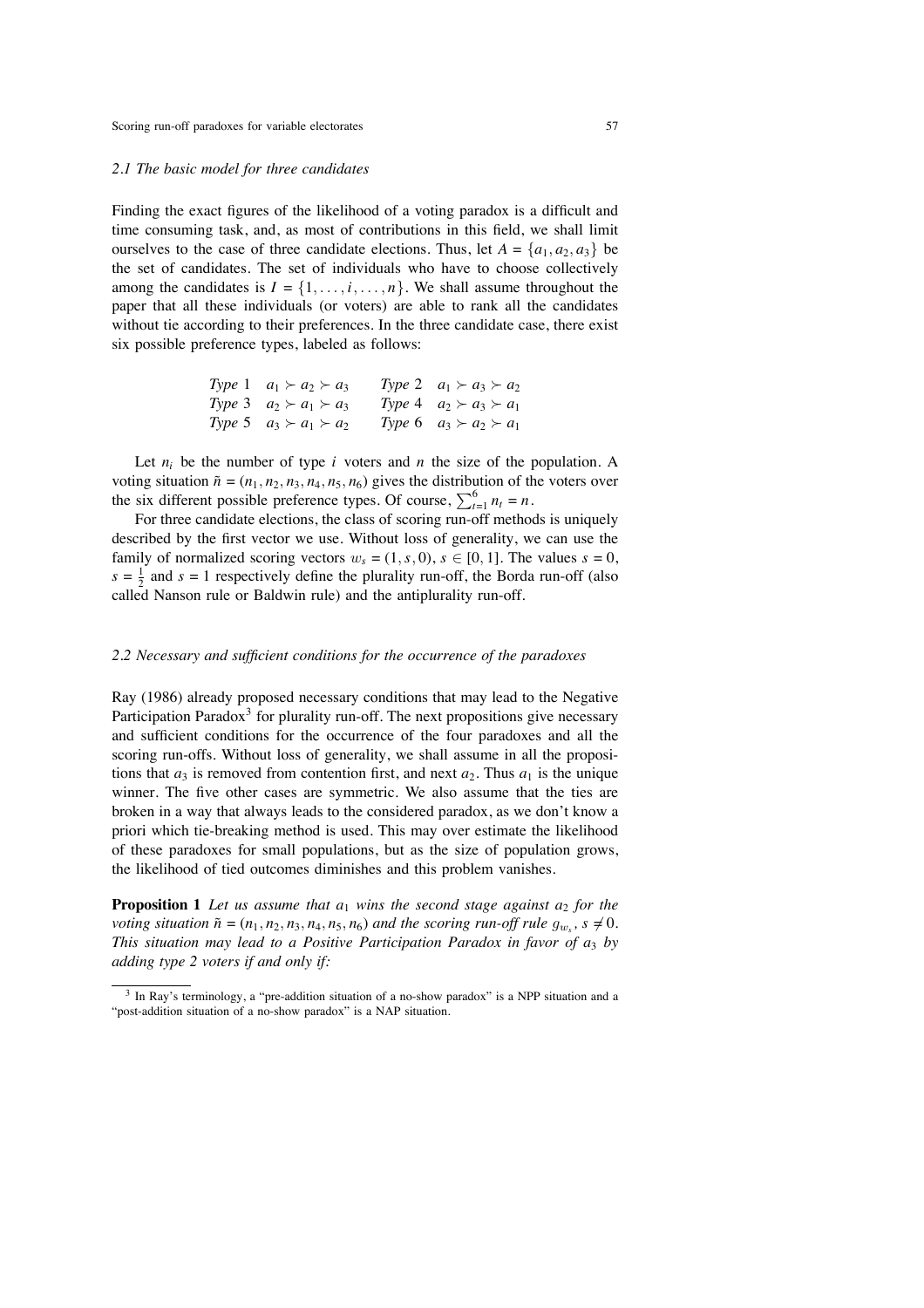#### *2.1 The basic model for three candidates*

Finding the exact figures of the likelihood of a voting paradox is a difficult and time consuming task, and, as most of contributions in this field, we shall limit ourselves to the case of three candidate elections. Thus, let  $A = \{a_1, a_2, a_3\}$  be the set of candidates. The set of individuals who have to choose collectively among the candidates is  $I = \{1, \ldots, i, \ldots, n\}$ . We shall assume throughout the paper that all these individuals (or voters) are able to rank all the candidates without tie according to their preferences. In the three candidate case, there exist six possible preference types, labeled as follows:

| Type 1 $a_1 \succ a_2 \succ a_3$ | Type 2 $a_1 \succ a_3 \succ a_2$ |
|----------------------------------|----------------------------------|
| Type 3 $a_2 \succ a_1 \succ a_3$ | Type 4 $a_2 \succ a_3 \succ a_1$ |
| Type 5 $a_3 \succ a_1 \succ a_2$ | Type 6 $a_3 \succ a_2 \succ a_1$ |

Let  $n_i$  be the number of type  $i$  voters and  $n$  the size of the population. A voting situation  $\tilde{n} = (n_1, n_2, n_3, n_4, n_5, n_6)$  gives the distribution of the voters over the six different possible preference types. Of course,  $\sum_{t=1}^{6} n_t = n$ .

For three candidate elections, the class of scoring run-off methods is uniquely described by the first vector we use. Without loss of generality, we can use the family of normalized scoring vectors  $w_s = (1, s, 0)$ ,  $s \in [0, 1]$ . The values  $s = 0$ ,  $s = \frac{1}{2}$  and  $s = 1$  respectively define the plurality run-off, the Borda run-off (also called Nanson rule or Baldwin rule) and the antiplurality run-off.

#### *2.2 Necessary and sufficient conditions for the occurrence of the paradoxes*

Ray (1986) already proposed necessary conditions that may lead to the Negative Participation Paradox<sup>3</sup> for plurality run-off. The next propositions give necessary and sufficient conditions for the occurrence of the four paradoxes and all the scoring run-offs. Without loss of generality, we shall assume in all the propositions that  $a_3$  is removed from contention first, and next  $a_2$ . Thus  $a_1$  is the unique winner. The five other cases are symmetric. We also assume that the ties are broken in a way that always leads to the considered paradox, as we don't know a priori which tie-breaking method is used. This may over estimate the likelihood of these paradoxes for small populations, but as the size of population grows, the likelihood of tied outcomes diminishes and this problem vanishes.

**Proposition 1** Let us assume that  $a_1$  wins the second stage against  $a_2$  for the *voting situation*  $\tilde{n} = (n_1, n_2, n_3, n_4, n_5, n_6)$  *and the scoring run-off rule*  $g_{w_s}$ ,  $s \neq 0$ *. This situation may lead to a Positive Participation Paradox in favor of a*<sup>3</sup> *by adding type 2 voters if and only if:*

<sup>&</sup>lt;sup>3</sup> In Ray's terminology, a "pre-addition situation of a no-show paradox" is a NPP situation and a "post-addition situation of a no-show paradox" is a NAP situation.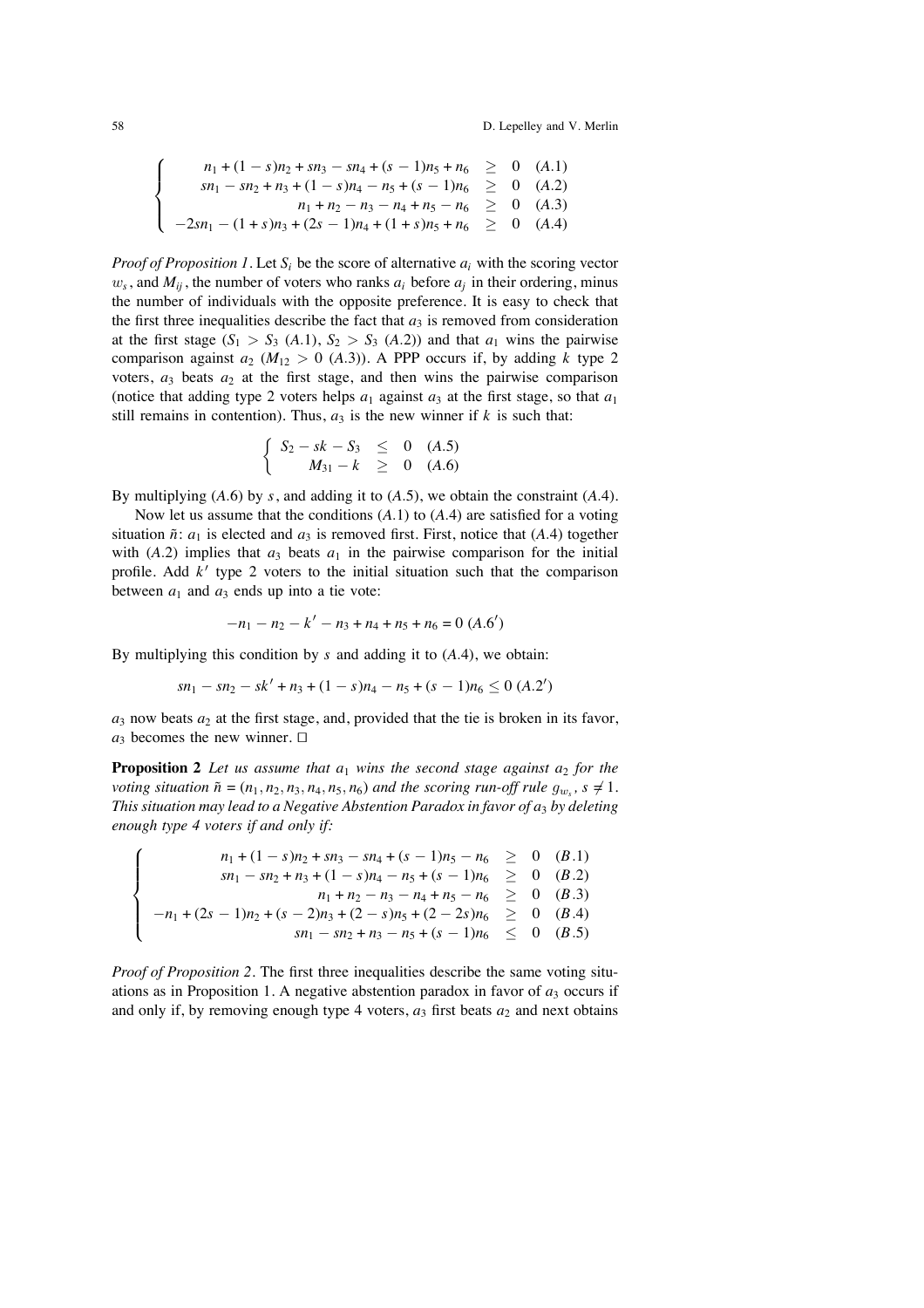$$
\begin{cases}\n n_1 + (1 - s)n_2 + sn_3 - sn_4 + (s - 1)n_5 + n_6 \ge 0 \quad (A.1) \\
 sn_1 - sn_2 + n_3 + (1 - s)n_4 - n_5 + (s - 1)n_6 \ge 0 \quad (A.2) \\
 n_1 + n_2 - n_3 - n_4 + n_5 - n_6 \ge 0 \quad (A.3) \\
 -2sn_1 - (1 + s)n_3 + (2s - 1)n_4 + (1 + s)n_5 + n_6 \ge 0 \quad (A.4)\n\end{cases}
$$

*Proof of Proposition 1.* Let  $S_i$  be the score of alternative  $a_i$  with the scoring vector  $w_s$ , and  $M_{ii}$ , the number of voters who ranks  $a_i$  before  $a_i$  in their ordering, minus the number of individuals with the opposite preference. It is easy to check that the first three inequalities describe the fact that  $a_3$  is removed from consideration at the first stage  $(S_1 > S_3 \ (A.1), S_2 > S_3 \ (A.2))$  and that  $a_1$  wins the pairwise comparison against  $a_2$  ( $M_{12} > 0$  (A.3)). A PPP occurs if, by adding *k* type 2 voters,  $a_3$  beats  $a_2$  at the first stage, and then wins the pairwise comparison (notice that adding type 2 voters helps  $a_1$  against  $a_3$  at the first stage, so that  $a_1$ still remains in contention). Thus,  $a_3$  is the new winner if  $k$  is such that:

$$
\begin{cases}\nS_2 - sk - S_3 \leq 0 \quad (A.5) \\
M_{31} - k \geq 0 \quad (A.6)\n\end{cases}
$$

By multiplying (*A*.6) by *s*, and adding it to (*A*.5), we obtain the constraint (*A*.4).

Now let us assume that the conditions (*A*.1) to (*A*.4) are satisfied for a voting situation  $\tilde{n}$ :  $a_1$  is elected and  $a_3$  is removed first. First, notice that (A.4) together with  $(A.2)$  implies that  $a_3$  beats  $a_1$  in the pairwise comparison for the initial profile. Add  $k'$  type 2 voters to the initial situation such that the comparison between  $a_1$  and  $a_3$  ends up into a tie vote:

$$
-n_1 - n_2 - k' - n_3 + n_4 + n_5 + n_6 = 0
$$
 (A.6')

By multiplying this condition by *s* and adding it to (*A*.4), we obtain:

$$
sn_1 - sn_2 - sk' + n_3 + (1 - s)n_4 - n_5 + (s - 1)n_6 \le 0
$$
 (A.2')

 $a_3$  now beats  $a_2$  at the first stage, and, provided that the tie is broken in its favor,  $a_3$  becomes the new winner.  $\Box$ 

**Proposition 2** Let us assume that  $a_1$  wins the second stage against  $a_2$  for the *voting situation*  $\tilde{n} = (n_1, n_2, n_3, n_4, n_5, n_6)$  *and the scoring run-off rule*  $g_{w_s}$ ,  $s \neq 1$ *. This situation may lead to a Negative Abstention Paradox in favor of a*<sup>3</sup> *by deleting enough type 4 voters if and only if:*

$$
\begin{cases}\n n_1 + (1 - s)n_2 + sn_3 - sn_4 + (s - 1)n_5 - n_6 & \geq 0 \quad (B.1) \\
 sn_1 - sn_2 + n_3 + (1 - s)n_4 - n_5 + (s - 1)n_6 & \geq 0 \quad (B.2) \\
 n_1 + n_2 - n_3 - n_4 + n_5 - n_6 & \geq 0 \quad (B.3) \\
 -n_1 + (2s - 1)n_2 + (s - 2)n_3 + (2 - s)n_5 + (2 - 2s)n_6 & \geq 0 \quad (B.4) \\
 sn_1 - sn_2 + n_3 - n_5 + (s - 1)n_6 & \leq 0 \quad (B.5)\n\end{cases}
$$

*Proof of Proposition 2.* The first three inequalities describe the same voting situations as in Proposition 1. A negative abstention paradox in favor of  $a_3$  occurs if and only if, by removing enough type 4 voters,  $a_3$  first beats  $a_2$  and next obtains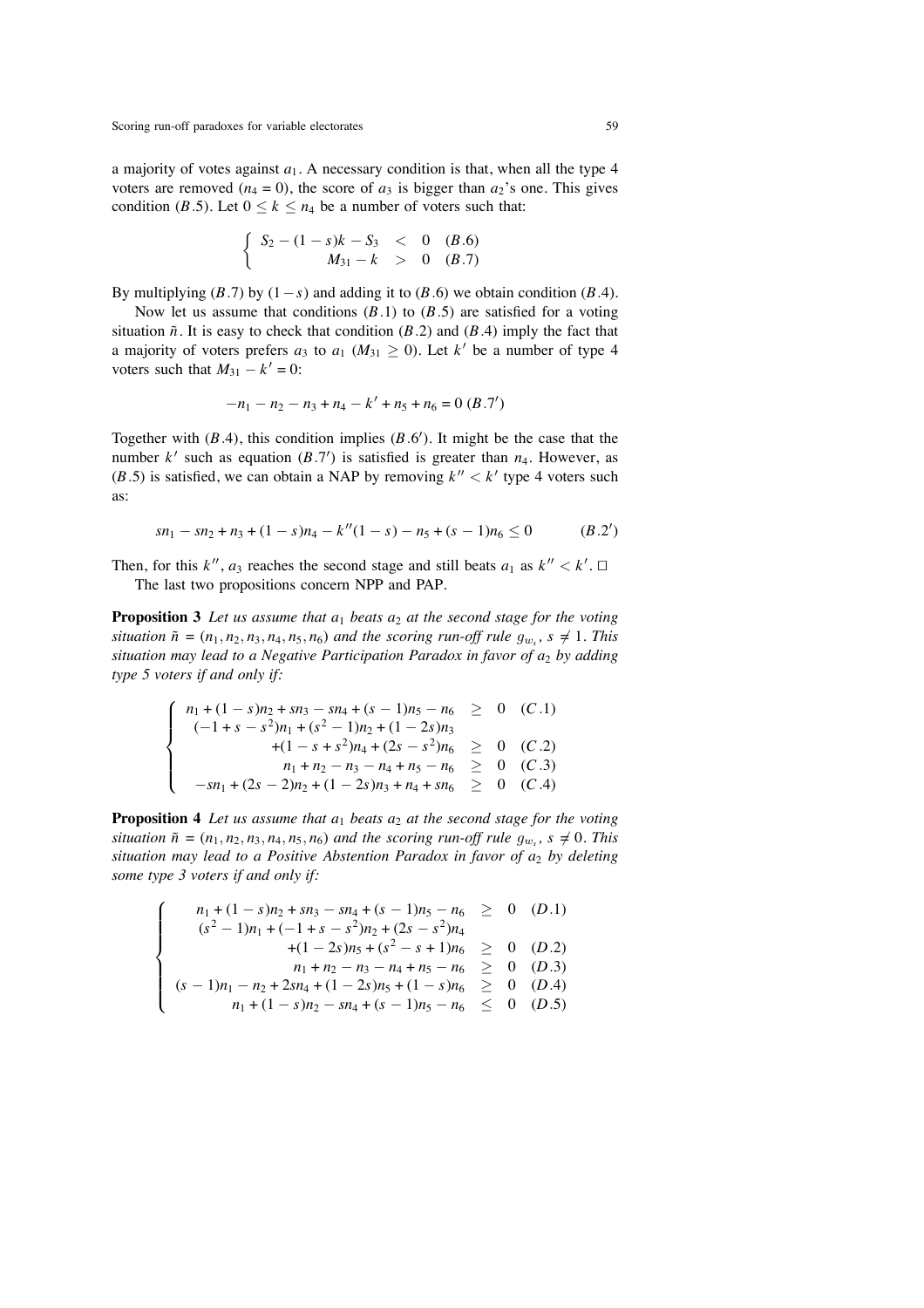a majority of votes against *a*1. A necessary condition is that, when all the type 4 voters are removed ( $n_4 = 0$ ), the score of  $a_3$  is bigger than  $a_2$ 's one. This gives condition (*B*.5). Let  $0 \le k \le n_4$  be a number of voters such that:

$$
\begin{cases}\nS_2 - (1 - s)k - S_3 < 0 \quad (B.6) \\
M_{31} - k > 0 \quad (B.7)\n\end{cases}
$$

By multiplying  $(B.7)$  by  $(1-s)$  and adding it to  $(B.6)$  we obtain condition  $(B.4)$ .

Now let us assume that conditions  $(B.1)$  to  $(B.5)$  are satisfied for a voting situation  $\tilde{n}$ . It is easy to check that condition (*B*.2) and (*B*.4) imply the fact that a majority of voters prefers  $a_3$  to  $a_1$  ( $M_{31} \ge 0$ ). Let  $k'$  be a number of type 4 voters such that  $M_{31} - k' = 0$ :

$$
-n_1 - n_2 - n_3 + n_4 - k' + n_5 + n_6 = 0
$$
 (B.7')

Together with  $(B.4)$ , this condition implies  $(B.6')$ . It might be the case that the number  $k'$  such as equation  $(B.7')$  is satisfied is greater than  $n_4$ . However, as (*B*.5) is satisfied, we can obtain a NAP by removing  $k'' < k'$  type 4 voters such as:

$$
sn_1 - sn_2 + n_3 + (1 - s)n_4 - k''(1 - s) - n_5 + (s - 1)n_6 \le 0 \qquad (B.2')
$$

Then, for this  $k''$ ,  $a_3$  reaches the second stage and still beats  $a_1$  as  $k'' < k'$ . The last two propositions concern NPP and PAP.

**Proposition 3** Let us assume that  $a_1$  beats  $a_2$  at the second stage for the voting *situation*  $\tilde{n} = (n_1, n_2, n_3, n_4, n_5, n_6)$  *and the scoring run-off rule*  $g_{w_s}$ ,  $s \neq 1$ *. This situation may lead to a Negative Participation Paradox in favor of a*<sup>2</sup> *by adding type 5 voters if and only if:*

$$
\begin{cases}\n n_1 + (1 - s)n_2 + sn_3 - sn_4 + (s - 1)n_5 - n_6 \ge 0 \quad (C.1) \\
 (-1 + s - s^2)n_1 + (s^2 - 1)n_2 + (1 - 2s)n_3 \\
 + (1 - s + s^2)n_4 + (2s - s^2)n_6 \ge 0 \quad (C.2) \\
 n_1 + n_2 - n_3 - n_4 + n_5 - n_6 \ge 0 \quad (C.3) \\
 -sn_1 + (2s - 2)n_2 + (1 - 2s)n_3 + n_4 + sn_6 \ge 0 \quad (C.4)\n\end{cases}
$$

**Proposition 4** Let us assume that  $a_1$  beats  $a_2$  at the second stage for the voting *situation*  $\tilde{n} = (n_1, n_2, n_3, n_4, n_5, n_6)$  *and the scoring run-off rule*  $g_{w_s}$ ,  $s \neq 0$ *. This situation may lead to a Positive Abstention Paradox in favor of*  $a_2$  *by deleting some type 3 voters if and only if:*

$$
\begin{cases}\n n_1 + (1 - s)n_2 + sn_3 - sn_4 + (s - 1)n_5 - n_6 & \geq 0 \quad (D.1) \\
 (s^2 - 1)n_1 + (-1 + s - s^2)n_2 + (2s - s^2)n_4 \\
 + (1 - 2s)n_5 + (s^2 - s + 1)n_6 & \geq 0 \quad (D.2) \\
 n_1 + n_2 - n_3 - n_4 + n_5 - n_6 & \geq 0 \quad (D.3) \\
 (s - 1)n_1 - n_2 + 2sn_4 + (1 - 2s)n_5 + (1 - s)n_6 & \geq 0 \quad (D.4) \\
 n_1 + (1 - s)n_2 - sn_4 + (s - 1)n_5 - n_6 & \leq 0 \quad (D.5)\n\end{cases}
$$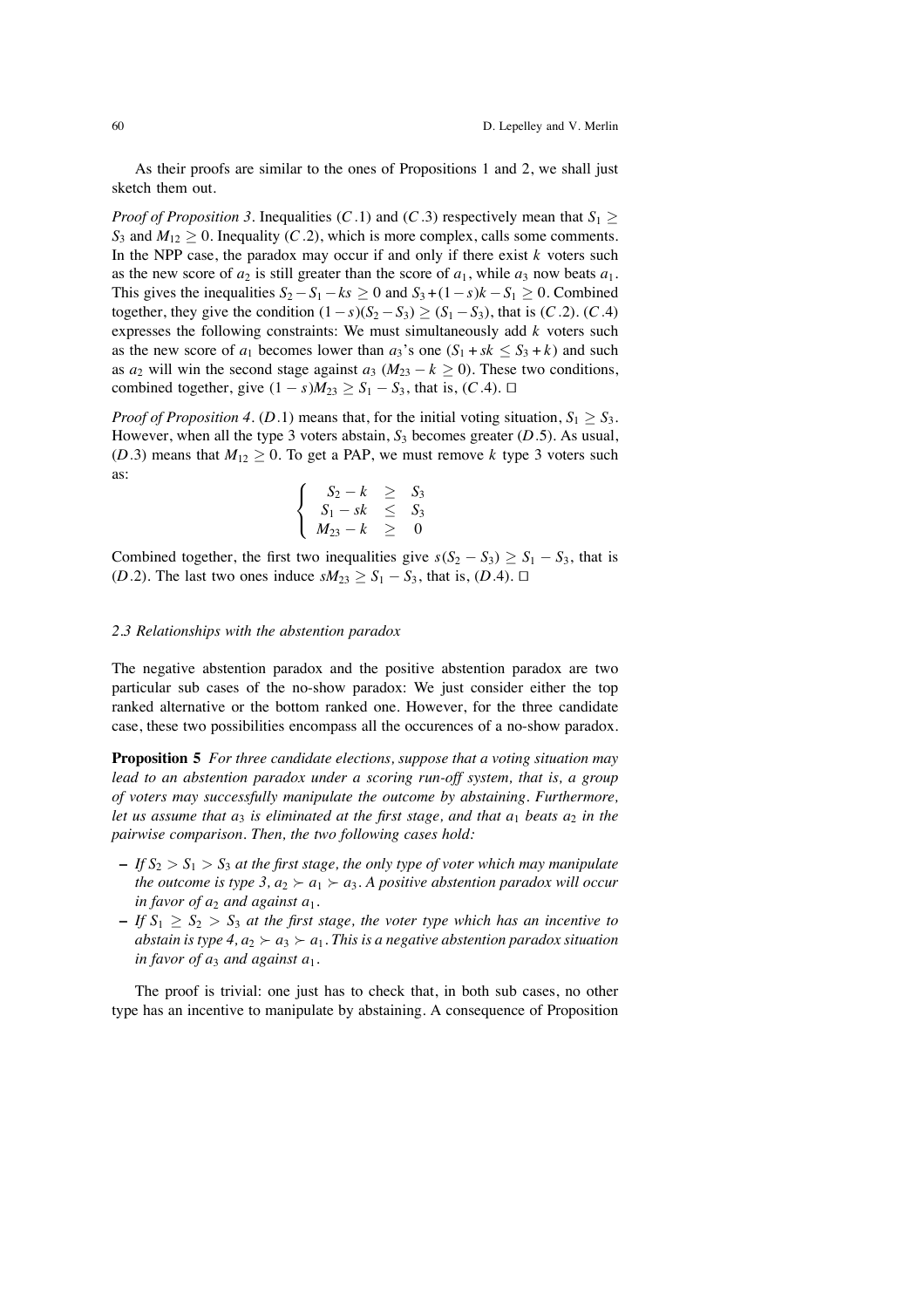As their proofs are similar to the ones of Propositions 1 and 2, we shall just sketch them out.

*Proof of Proposition 3*. Inequalities (*C*.1) and (*C*.3) respectively mean that  $S_1$  >  $S_3$  and  $M_{12}$  > 0. Inequality (*C*.2), which is more complex, calls some comments. In the NPP case, the paradox may occur if and only if there exist  $k$  voters such as the new score of  $a_2$  is still greater than the score of  $a_1$ , while  $a_3$  now beats  $a_1$ . This gives the inequalities  $S_2 - S_1 - ks \ge 0$  and  $S_3 + (1 - s)k - S_1 \ge 0$ . Combined together, they give the condition  $(1-s)(S_2 - S_3) \ge (S_1 - S_3)$ , that is  $(C.2)$ .  $(C.4)$ expresses the following constraints: We must simultaneously add *k* voters such as the new score of  $a_1$  becomes lower than  $a_3$ 's one  $(S_1 + sk \leq S_3 + k)$  and such as  $a_2$  will win the second stage against  $a_3$  ( $M_{23} - k \ge 0$ ). These two conditions, combined together, give  $(1 - s)M_{23} \geq S_1 - S_3$ , that is,  $(C.4)$ . □

*Proof of Proposition 4.* (*D.1*) means that, for the initial voting situation,  $S_1 \geq S_3$ . However, when all the type 3 voters abstain,  $S_3$  becomes greater  $(D.5)$ . As usual, (*D*.3) means that  $M_{12} \ge 0$ . To get a PAP, we must remove *k* type 3 voters such as:

$$
\begin{cases}\nS_2 - k \geq S_3 \\
S_1 - sk \leq S_3 \\
M_{23} - k \geq 0\n\end{cases}
$$

Combined together, the first two inequalities give  $s(S_2 - S_3) \geq S_1 - S_3$ , that is (*D*.2). The last two ones induce  $sM_{23} \geq S_1 - S_3$ , that is, (*D*.4).  $\Box$ 

#### *2.3 Relationships with the abstention paradox*

The negative abstention paradox and the positive abstention paradox are two particular sub cases of the no-show paradox: We just consider either the top ranked alternative or the bottom ranked one. However, for the three candidate case, these two possibilities encompass all the occurences of a no-show paradox.

**Proposition 5** *For three candidate elections, suppose that a voting situation may lead to an abstention paradox under a scoring run-off system, that is, a group of voters may successfully manipulate the outcome by abstaining. Furthermore, let us assume that*  $a_3$  *is eliminated at the first stage, and that*  $a_1$  *beats*  $a_2$  *in the pairwise comparison. Then, the two following cases hold:*

- $\mathcal{I} = I f S_2 > S_1 > S_3$  *at the first stage, the only type of voter which may manipulate the outcome is type 3,*  $a_2 \succ a_1 \succ a_3$ *. A positive abstention paradox will occur in favor of*  $a_2$  *and against*  $a_1$ *.*
- **–** *If S*<sup>1</sup> ≥ *S*<sup>2</sup> > *S*<sup>3</sup> *at the first stage, the voter type which has an incentive to abstain is type 4,*  $a_2 \succ a_3 \succ a_1$ *. This is a negative abstention paradox situation in favor of*  $a_3$  *and against*  $a_1$ *.*

The proof is trivial: one just has to check that, in both sub cases, no other type has an incentive to manipulate by abstaining. A consequence of Proposition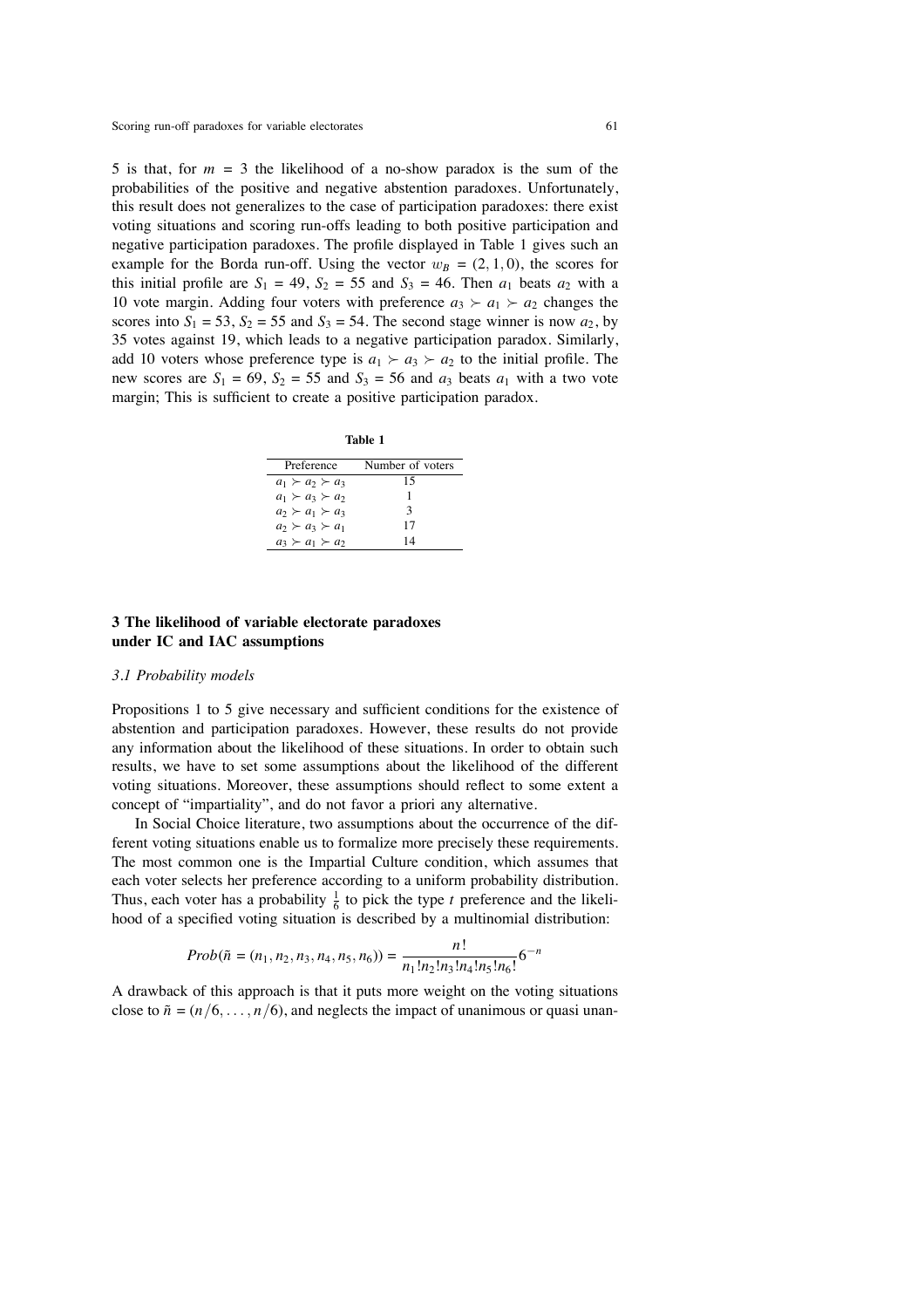5 is that, for  $m = 3$  the likelihood of a no-show paradox is the sum of the probabilities of the positive and negative abstention paradoxes. Unfortunately, this result does not generalizes to the case of participation paradoxes: there exist voting situations and scoring run-offs leading to both positive participation and negative participation paradoxes. The profile displayed in Table 1 gives such an example for the Borda run-off. Using the vector  $w_B = (2, 1, 0)$ , the scores for this initial profile are  $S_1 = 49$ ,  $S_2 = 55$  and  $S_3 = 46$ . Then  $a_1$  beats  $a_2$  with a 10 vote margin. Adding four voters with preference  $a_3 \succ a_1 \succ a_2$  changes the scores into  $S_1 = 53$ ,  $S_2 = 55$  and  $S_3 = 54$ . The second stage winner is now  $a_2$ , by 35 votes against 19, which leads to a negative participation paradox. Similarly, add 10 voters whose preference type is  $a_1 \succ a_3 \succ a_2$  to the initial profile. The new scores are  $S_1 = 69$ ,  $S_2 = 55$  and  $S_3 = 56$  and  $a_3$  beats  $a_1$  with a two vote margin; This is sufficient to create a positive participation paradox.

**Table 1**

| Preference                | Number of voters |
|---------------------------|------------------|
| $a_1 \succ a_2 \succ a_3$ | 15               |
| $a_1 \succ a_3 \succ a_2$ | 1                |
| $a_2 \succ a_1 \succ a_3$ | $\mathcal{R}$    |
| $a_2 \succ a_3 \succ a_1$ | 17               |
| $a_3 \succ a_1 \succ a_2$ | 14               |

## **3 The likelihood of variable electorate paradoxes under IC and IAC assumptions**

#### *3.1 Probability models*

Propositions 1 to 5 give necessary and sufficient conditions for the existence of abstention and participation paradoxes. However, these results do not provide any information about the likelihood of these situations. In order to obtain such results, we have to set some assumptions about the likelihood of the different voting situations. Moreover, these assumptions should reflect to some extent a concept of "impartiality", and do not favor a priori any alternative.

In Social Choice literature, two assumptions about the occurrence of the different voting situations enable us to formalize more precisely these requirements. The most common one is the Impartial Culture condition, which assumes that each voter selects her preference according to a uniform probability distribution. Thus, each voter has a probability  $\frac{1}{6}$  to pick the type *t* preference and the likelihood of a specified voting situation is described by a multinomial distribution:

$$
Prob(\tilde{n} = (n_1, n_2, n_3, n_4, n_5, n_6)) = \frac{n!}{n_1! n_2! n_3! n_4! n_5! n_6!} 6^{-n}
$$

A drawback of this approach is that it puts more weight on the voting situations close to  $\tilde{n} = (n/6, \ldots, n/6)$ , and neglects the impact of unanimous or quasi unan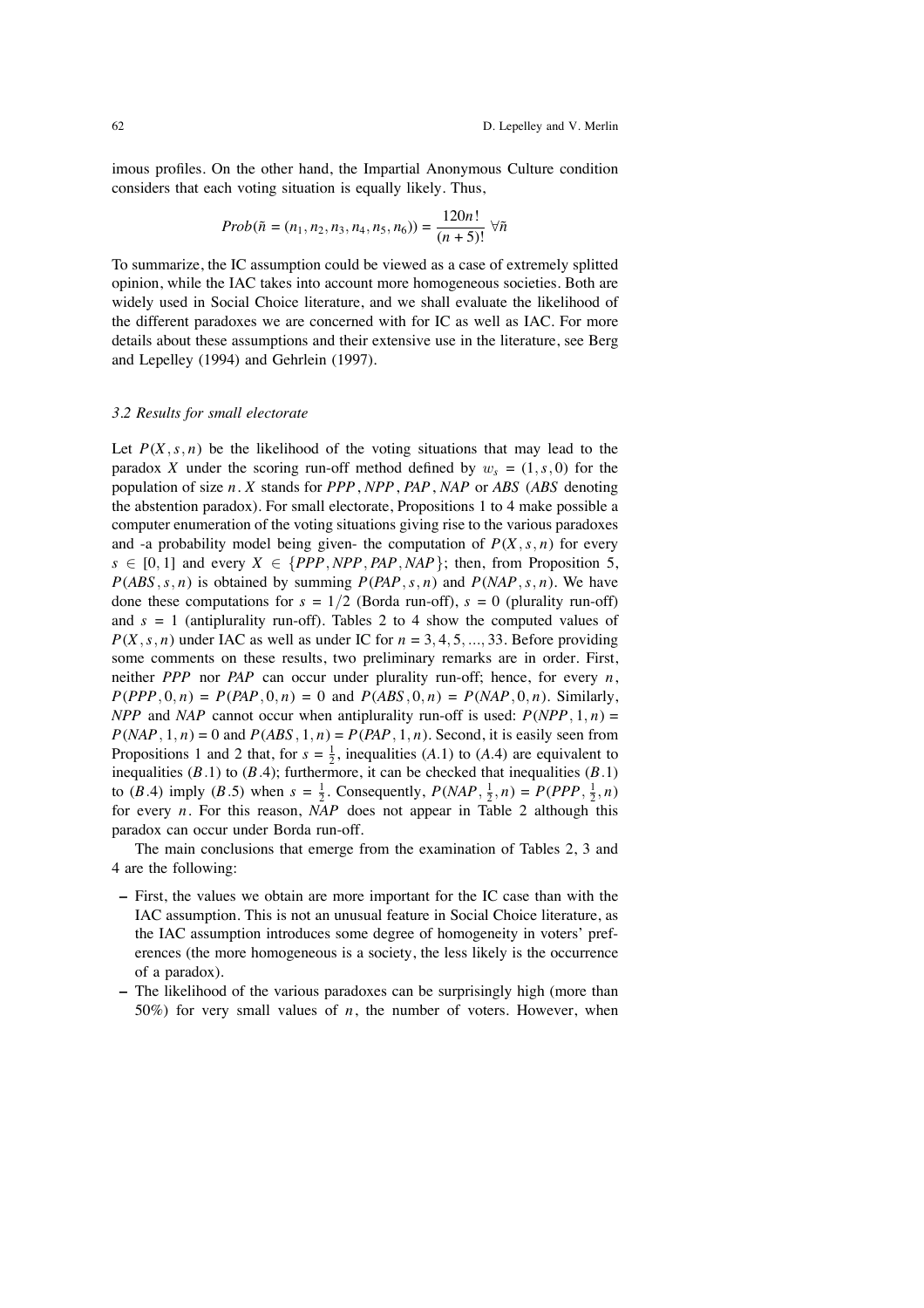imous profiles. On the other hand, the Impartial Anonymous Culture condition considers that each voting situation is equally likely. Thus,

$$
Prob(\tilde{n} = (n_1, n_2, n_3, n_4, n_5, n_6)) = \frac{120n!}{(n+5)!} \,\forall \tilde{n}
$$

To summarize, the IC assumption could be viewed as a case of extremely splitted opinion, while the IAC takes into account more homogeneous societies. Both are widely used in Social Choice literature, and we shall evaluate the likelihood of the different paradoxes we are concerned with for IC as well as IAC. For more details about these assumptions and their extensive use in the literature, see Berg and Lepelley (1994) and Gehrlein (1997).

#### *3.2 Results for small electorate*

Let  $P(X, s, n)$  be the likelihood of the voting situations that may lead to the paradox *X* under the scoring run-off method defined by  $w_s = (1, s, 0)$  for the population of size *n*. *X* stands for *PPP*, *NPP*, *PAP*, *NAP* or *ABS* (*ABS* denoting the abstention paradox). For small electorate, Propositions 1 to 4 make possible a computer enumeration of the voting situations giving rise to the various paradoxes and -a probability model being given- the computation of  $P(X, s, n)$  for every  $s \in [0, 1]$  and every  $X \in \{PPP, NPP, PAP, NAP\}$ ; then, from Proposition 5,  $P(ABS, s, n)$  is obtained by summing  $P(PAP, s, n)$  and  $P(NAP, s, n)$ . We have done these computations for  $s = 1/2$  (Borda run-off),  $s = 0$  (plurality run-off) and  $s = 1$  (antiplurality run-off). Tables 2 to 4 show the computed values of  $P(X, s, n)$  under IAC as well as under IC for  $n = 3, 4, 5, ..., 33$ . Before providing some comments on these results, two preliminary remarks are in order. First, neither *PPP* nor *PAP* can occur under plurality run-off; hence, for every *n*,  $P(PPP, 0, n) = P(PAP, 0, n) = 0$  and  $P(ABS, 0, n) = P(NAP, 0, n)$ . Similarly, *NPP* and *NAP* cannot occur when antiplurality run-off is used:  $P(NPP, 1, n) =$  $P(NAP, 1, n) = 0$  and  $P(ABS, 1, n) = P(PAP, 1, n)$ . Second, it is easily seen from Propositions 1 and 2 that, for  $s = \frac{1}{2}$ , inequalities (*A*.1) to (*A*.4) are equivalent to inequalities  $(B.1)$  to  $(B.4)$ ; furthermore, it can be checked that inequalities  $(B.1)$ to (*B*.4) imply (*B*.5) when  $s = \frac{1}{2}$ . Consequently,  $P(NAP, \frac{1}{2}, n) = P(PPP, \frac{1}{2}, n)$ for every *n*. For this reason, *NAP* does not appear in Table 2 although this paradox can occur under Borda run-off.

The main conclusions that emerge from the examination of Tables 2, 3 and 4 are the following:

- **–** First, the values we obtain are more important for the IC case than with the IAC assumption. This is not an unusual feature in Social Choice literature, as the IAC assumption introduces some degree of homogeneity in voters' preferences (the more homogeneous is a society, the less likely is the occurrence of a paradox).
- **–** The likelihood of the various paradoxes can be surprisingly high (more than 50%) for very small values of *n*, the number of voters. However, when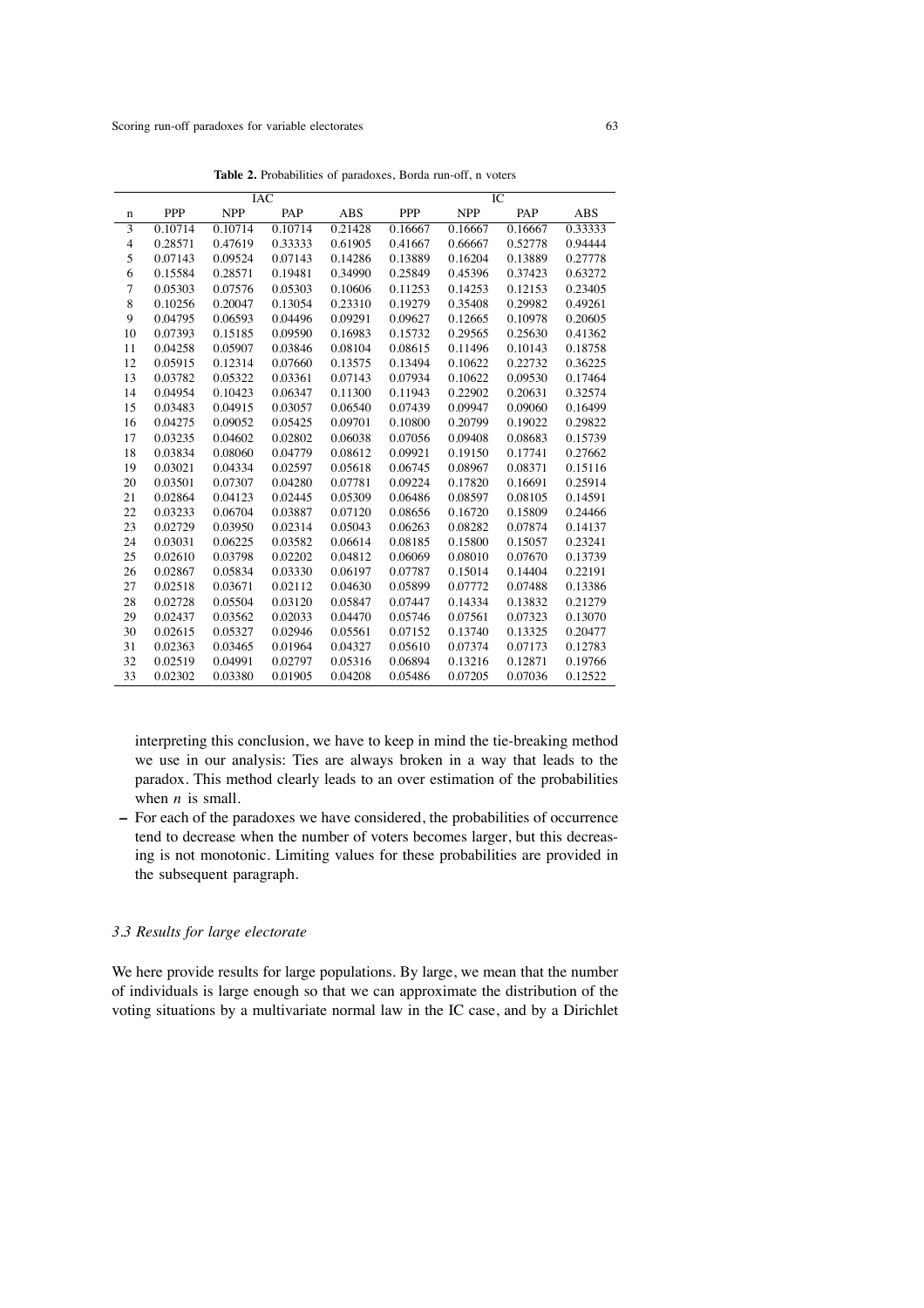|                |            |            | IAC     |            |         |            | IС      |            |
|----------------|------------|------------|---------|------------|---------|------------|---------|------------|
| n              | <b>PPP</b> | <b>NPP</b> | PAP     | <b>ABS</b> | PPP     | <b>NPP</b> | PAP     | <b>ABS</b> |
| 3              | 0.10714    | 0.10714    | 0.10714 | 0.21428    | 0.16667 | 0.16667    | 0.16667 | 0.33333    |
| $\overline{4}$ | 0.28571    | 0.47619    | 0.33333 | 0.61905    | 0.41667 | 0.66667    | 0.52778 | 0.94444    |
| 5              | 0.07143    | 0.09524    | 0.07143 | 0.14286    | 0.13889 | 0.16204    | 0.13889 | 0.27778    |
| 6              | 0.15584    | 0.28571    | 0.19481 | 0.34990    | 0.25849 | 0.45396    | 0.37423 | 0.63272    |
| 7              | 0.05303    | 0.07576    | 0.05303 | 0.10606    | 0.11253 | 0.14253    | 0.12153 | 0.23405    |
| 8              | 0.10256    | 0.20047    | 0.13054 | 0.23310    | 0.19279 | 0.35408    | 0.29982 | 0.49261    |
| 9              | 0.04795    | 0.06593    | 0.04496 | 0.09291    | 0.09627 | 0.12665    | 0.10978 | 0.20605    |
| 10             | 0.07393    | 0.15185    | 0.09590 | 0.16983    | 0.15732 | 0.29565    | 0.25630 | 0.41362    |
| 11             | 0.04258    | 0.05907    | 0.03846 | 0.08104    | 0.08615 | 0.11496    | 0.10143 | 0.18758    |
| 12             | 0.05915    | 0.12314    | 0.07660 | 0.13575    | 0.13494 | 0.10622    | 0.22732 | 0.36225    |
| 13             | 0.03782    | 0.05322    | 0.03361 | 0.07143    | 0.07934 | 0.10622    | 0.09530 | 0.17464    |
| 14             | 0.04954    | 0.10423    | 0.06347 | 0.11300    | 0.11943 | 0.22902    | 0.20631 | 0.32574    |
| 15             | 0.03483    | 0.04915    | 0.03057 | 0.06540    | 0.07439 | 0.09947    | 0.09060 | 0.16499    |
| 16             | 0.04275    | 0.09052    | 0.05425 | 0.09701    | 0.10800 | 0.20799    | 0.19022 | 0.29822    |
| 17             | 0.03235    | 0.04602    | 0.02802 | 0.06038    | 0.07056 | 0.09408    | 0.08683 | 0.15739    |
| 18             | 0.03834    | 0.08060    | 0.04779 | 0.08612    | 0.09921 | 0.19150    | 0.17741 | 0.27662    |
| 19             | 0.03021    | 0.04334    | 0.02597 | 0.05618    | 0.06745 | 0.08967    | 0.08371 | 0.15116    |
| 20             | 0.03501    | 0.07307    | 0.04280 | 0.07781    | 0.09224 | 0.17820    | 0.16691 | 0.25914    |
| 21             | 0.02864    | 0.04123    | 0.02445 | 0.05309    | 0.06486 | 0.08597    | 0.08105 | 0.14591    |
| 22             | 0.03233    | 0.06704    | 0.03887 | 0.07120    | 0.08656 | 0.16720    | 0.15809 | 0.24466    |
| 23             | 0.02729    | 0.03950    | 0.02314 | 0.05043    | 0.06263 | 0.08282    | 0.07874 | 0.14137    |
| 24             | 0.03031    | 0.06225    | 0.03582 | 0.06614    | 0.08185 | 0.15800    | 0.15057 | 0.23241    |
| 25             | 0.02610    | 0.03798    | 0.02202 | 0.04812    | 0.06069 | 0.08010    | 0.07670 | 0.13739    |
| 26             | 0.02867    | 0.05834    | 0.03330 | 0.06197    | 0.07787 | 0.15014    | 0.14404 | 0.22191    |
| 27             | 0.02518    | 0.03671    | 0.02112 | 0.04630    | 0.05899 | 0.07772    | 0.07488 | 0.13386    |
| 28             | 0.02728    | 0.05504    | 0.03120 | 0.05847    | 0.07447 | 0.14334    | 0.13832 | 0.21279    |
| 29             | 0.02437    | 0.03562    | 0.02033 | 0.04470    | 0.05746 | 0.07561    | 0.07323 | 0.13070    |
| 30             | 0.02615    | 0.05327    | 0.02946 | 0.05561    | 0.07152 | 0.13740    | 0.13325 | 0.20477    |
| 31             | 0.02363    | 0.03465    | 0.01964 | 0.04327    | 0.05610 | 0.07374    | 0.07173 | 0.12783    |
| 32             | 0.02519    | 0.04991    | 0.02797 | 0.05316    | 0.06894 | 0.13216    | 0.12871 | 0.19766    |
| 33             | 0.02302    | 0.03380    | 0.01905 | 0.04208    | 0.05486 | 0.07205    | 0.07036 | 0.12522    |

**Table 2.** Probabilities of paradoxes, Borda run-off, n voters

interpreting this conclusion, we have to keep in mind the tie-breaking method we use in our analysis: Ties are always broken in a way that leads to the paradox. This method clearly leads to an over estimation of the probabilities when *n* is small.

**–** For each of the paradoxes we have considered, the probabilities of occurrence tend to decrease when the number of voters becomes larger, but this decreasing is not monotonic. Limiting values for these probabilities are provided in the subsequent paragraph.

#### *3.3 Results for large electorate*

We here provide results for large populations. By large, we mean that the number of individuals is large enough so that we can approximate the distribution of the voting situations by a multivariate normal law in the IC case, and by a Dirichlet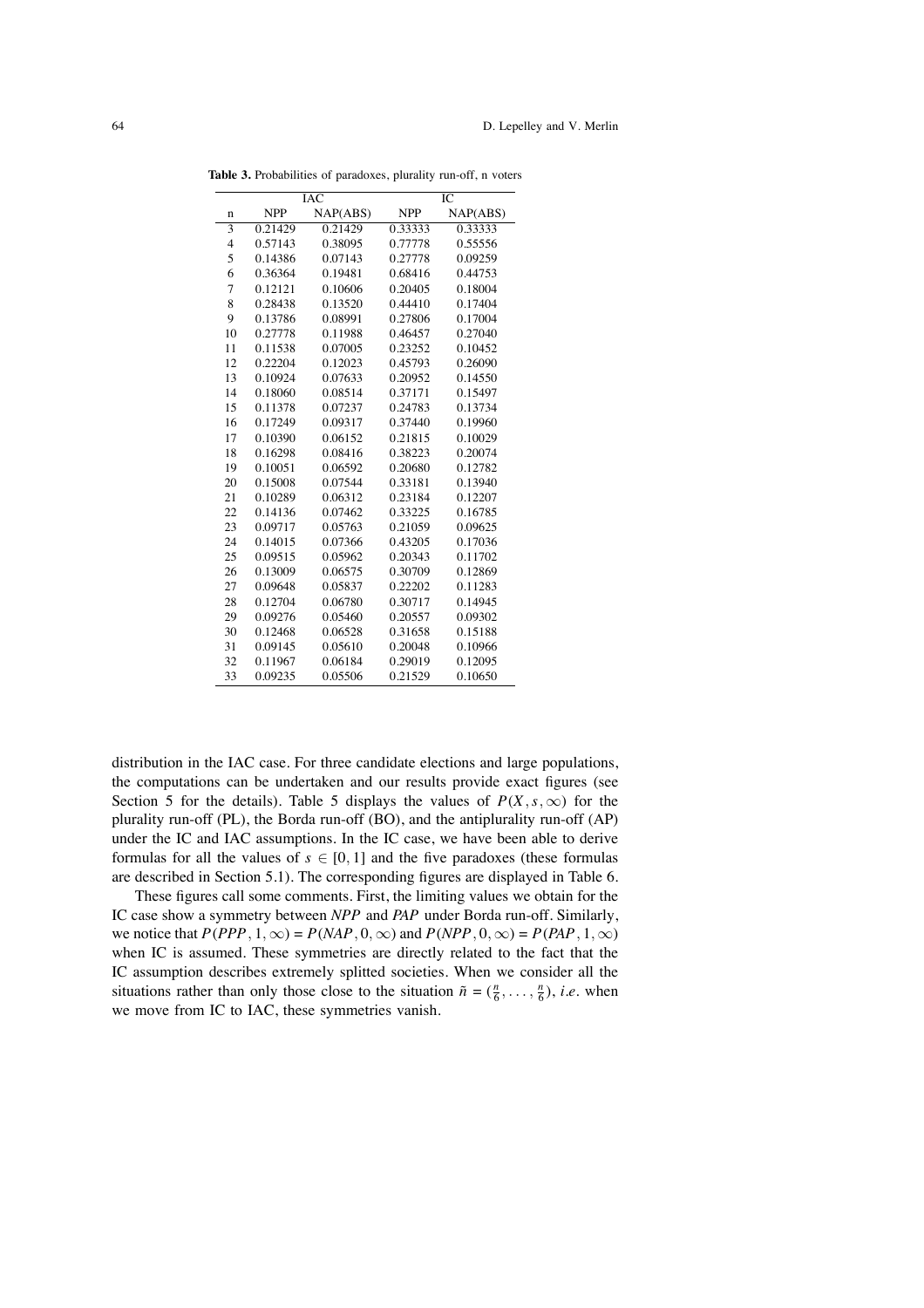|                |            | IAC      | IС         |          |  |
|----------------|------------|----------|------------|----------|--|
| $\mathbf n$    | <b>NPP</b> | NAP(ABS) | <b>NPP</b> | NAP(ABS) |  |
| 3              | 0.21429    | 0.21429  | 0.33333    | 0.33333  |  |
| $\overline{4}$ | 0.57143    | 0.38095  | 0.77778    | 0.55556  |  |
| 5              | 0.14386    | 0.07143  | 0.27778    | 0.09259  |  |
| 6              | 0.36364    | 0.19481  | 0.68416    | 0.44753  |  |
| 7              | 0.12121    | 0.10606  | 0.20405    | 0.18004  |  |
| 8              | 0.28438    | 0.13520  | 0.44410    | 0.17404  |  |
| 9              | 0.13786    | 0.08991  | 0.27806    | 0.17004  |  |
| 10             | 0.27778    | 0.11988  | 0.46457    | 0.27040  |  |
| 11             | 0.11538    | 0.07005  | 0.23252    | 0.10452  |  |
| 12             | 0.22204    | 0.12023  | 0.45793    | 0.26090  |  |
| 13             | 0.10924    | 0.07633  | 0.20952    | 0.14550  |  |
| 14             | 0.18060    | 0.08514  | 0.37171    | 0.15497  |  |
| 15             | 0.11378    | 0.07237  | 0.24783    | 0.13734  |  |
| 16             | 0.17249    | 0.09317  | 0.37440    | 0.19960  |  |
| 17             | 0.10390    | 0.06152  | 0.21815    | 0.10029  |  |
| 18             | 0.16298    | 0.08416  | 0.38223    | 0.20074  |  |
| 19             | 0.10051    | 0.06592  | 0.20680    | 0.12782  |  |
| 20             | 0.15008    | 0.07544  | 0.33181    | 0.13940  |  |
| 21             | 0.10289    | 0.06312  | 0.23184    | 0.12207  |  |
| 22             | 0.14136    | 0.07462  | 0.33225    | 0.16785  |  |
| 23             | 0.09717    | 0.05763  | 0.21059    | 0.09625  |  |
| 24             | 0.14015    | 0.07366  | 0.43205    | 0.17036  |  |
| 25             | 0.09515    | 0.05962  | 0.20343    | 0.11702  |  |
| 26             | 0.13009    | 0.06575  | 0.30709    | 0.12869  |  |
| 27             | 0.09648    | 0.05837  | 0.22202    | 0.11283  |  |
| 28             | 0.12704    | 0.06780  | 0.30717    | 0.14945  |  |
| 29             | 0.09276    | 0.05460  | 0.20557    | 0.09302  |  |
| 30             | 0.12468    | 0.06528  | 0.31658    | 0.15188  |  |
| 31             | 0.09145    | 0.05610  | 0.20048    | 0.10966  |  |
| 32             | 0.11967    | 0.06184  | 0.29019    | 0.12095  |  |
| 33             | 0.09235    | 0.05506  | 0.21529    | 0.10650  |  |

**Table 3.** Probabilities of paradoxes, plurality run-off, n voters

distribution in the IAC case. For three candidate elections and large populations, the computations can be undertaken and our results provide exact figures (see Section 5 for the details). Table 5 displays the values of  $P(X, s, \infty)$  for the plurality run-off (PL), the Borda run-off (BO), and the antiplurality run-off (AP) under the IC and IAC assumptions. In the IC case, we have been able to derive formulas for all the values of  $s \in [0, 1]$  and the five paradoxes (these formulas are described in Section 5.1). The corresponding figures are displayed in Table 6.

These figures call some comments. First, the limiting values we obtain for the IC case show a symmetry between *NPP* and *PAP* under Borda run-off. Similarly, we notice that  $P(PPP, 1, \infty) = P(NAP, 0, \infty)$  and  $P(NPP, 0, \infty) = P(PAP, 1, \infty)$ when IC is assumed. These symmetries are directly related to the fact that the IC assumption describes extremely splitted societies. When we consider all the situations rather than only those close to the situation  $\tilde{n} = (\frac{n}{6}, \dots, \frac{n}{6})$ , *i.e.* when we move from IC to IAC, these symmetries vanish.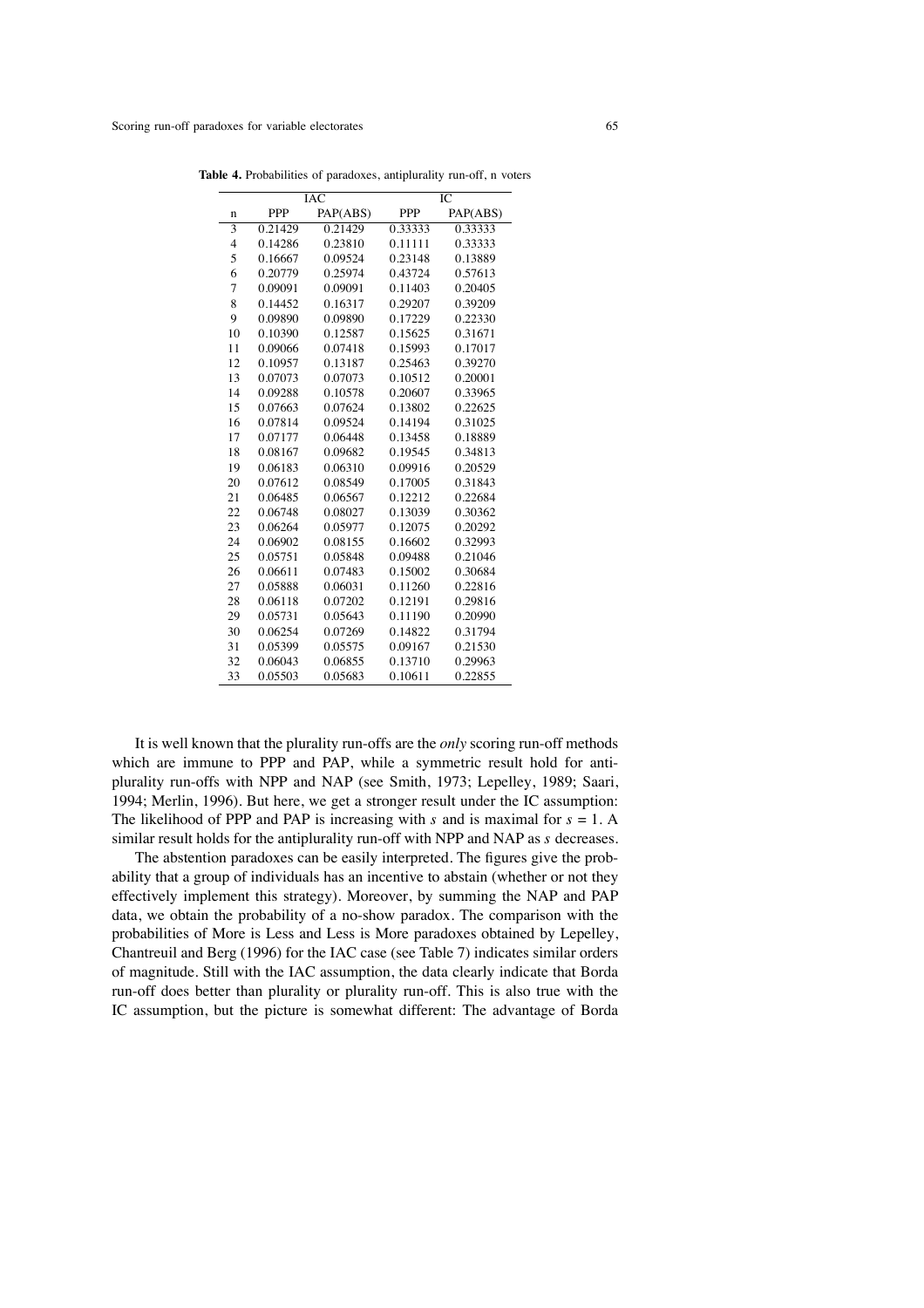|                |         | IAC      | IС         |          |  |
|----------------|---------|----------|------------|----------|--|
| n              | PPP     | PAP(ABS) | <b>PPP</b> | PAP(ABS) |  |
| $\overline{3}$ | 0.21429 | 0.21429  | 0.33333    | 0.33333  |  |
| $\overline{4}$ | 0.14286 | 0.23810  | 0.11111    | 0.33333  |  |
| 5              | 0.16667 | 0.09524  | 0.23148    | 0.13889  |  |
| 6              | 0.20779 | 0.25974  | 0.43724    | 0.57613  |  |
| 7              | 0.09091 | 0.09091  | 0.11403    | 0.20405  |  |
| 8              | 0.14452 | 0.16317  | 0.29207    | 0.39209  |  |
| 9              | 0.09890 | 0.09890  | 0.17229    | 0.22330  |  |
| 10             | 0.10390 | 0.12587  | 0.15625    | 0.31671  |  |
| 11             | 0.09066 | 0.07418  | 0.15993    | 0.17017  |  |
| 12             | 0.10957 | 0.13187  | 0.25463    | 0.39270  |  |
| 13             | 0.07073 | 0.07073  | 0.10512    | 0.20001  |  |
| 14             | 0.09288 | 0.10578  | 0.20607    | 0.33965  |  |
| 15             | 0.07663 | 0.07624  | 0.13802    | 0.22625  |  |
| 16             | 0.07814 | 0.09524  | 0.14194    | 0.31025  |  |
| 17             | 0.07177 | 0.06448  | 0.13458    | 0.18889  |  |
| 18             | 0.08167 | 0.09682  | 0.19545    | 0.34813  |  |
| 19             | 0.06183 | 0.06310  | 0.09916    | 0.20529  |  |
| 20             | 0.07612 | 0.08549  | 0.17005    | 0.31843  |  |
| 21             | 0.06485 | 0.06567  | 0.12212    | 0.22684  |  |
| 22             | 0.06748 | 0.08027  | 0.13039    | 0.30362  |  |
| 23             | 0.06264 | 0.05977  | 0.12075    | 0.20292  |  |
| 24             | 0.06902 | 0.08155  | 0.16602    | 0.32993  |  |
| 25             | 0.05751 | 0.05848  | 0.09488    | 0.21046  |  |
| 26             | 0.06611 | 0.07483  | 0.15002    | 0.30684  |  |
| 27             | 0.05888 | 0.06031  | 0.11260    | 0.22816  |  |
| 28             | 0.06118 | 0.07202  | 0.12191    | 0.29816  |  |
| 29             | 0.05731 | 0.05643  | 0.11190    | 0.20990  |  |
| 30             | 0.06254 | 0.07269  | 0.14822    | 0.31794  |  |
| 31             | 0.05399 | 0.05575  | 0.09167    | 0.21530  |  |
| 32             | 0.06043 | 0.06855  | 0.13710    | 0.29963  |  |
| 33             | 0.05503 | 0.05683  | 0.10611    | 0.22855  |  |

**Table 4.** Probabilities of paradoxes, antiplurality run-off, n voters

It is well known that the plurality run-offs are the *only* scoring run-off methods which are immune to PPP and PAP, while a symmetric result hold for antiplurality run-offs with NPP and NAP (see Smith, 1973; Lepelley, 1989; Saari, 1994; Merlin, 1996). But here, we get a stronger result under the IC assumption: The likelihood of PPP and PAP is increasing with *s* and is maximal for *s* = 1. A similar result holds for the antiplurality run-off with NPP and NAP as *s* decreases.

The abstention paradoxes can be easily interpreted. The figures give the probability that a group of individuals has an incentive to abstain (whether or not they effectively implement this strategy). Moreover, by summing the NAP and PAP data, we obtain the probability of a no-show paradox. The comparison with the probabilities of More is Less and Less is More paradoxes obtained by Lepelley, Chantreuil and Berg (1996) for the IAC case (see Table 7) indicates similar orders of magnitude. Still with the IAC assumption, the data clearly indicate that Borda run-off does better than plurality or plurality run-off. This is also true with the IC assumption, but the picture is somewhat different: The advantage of Borda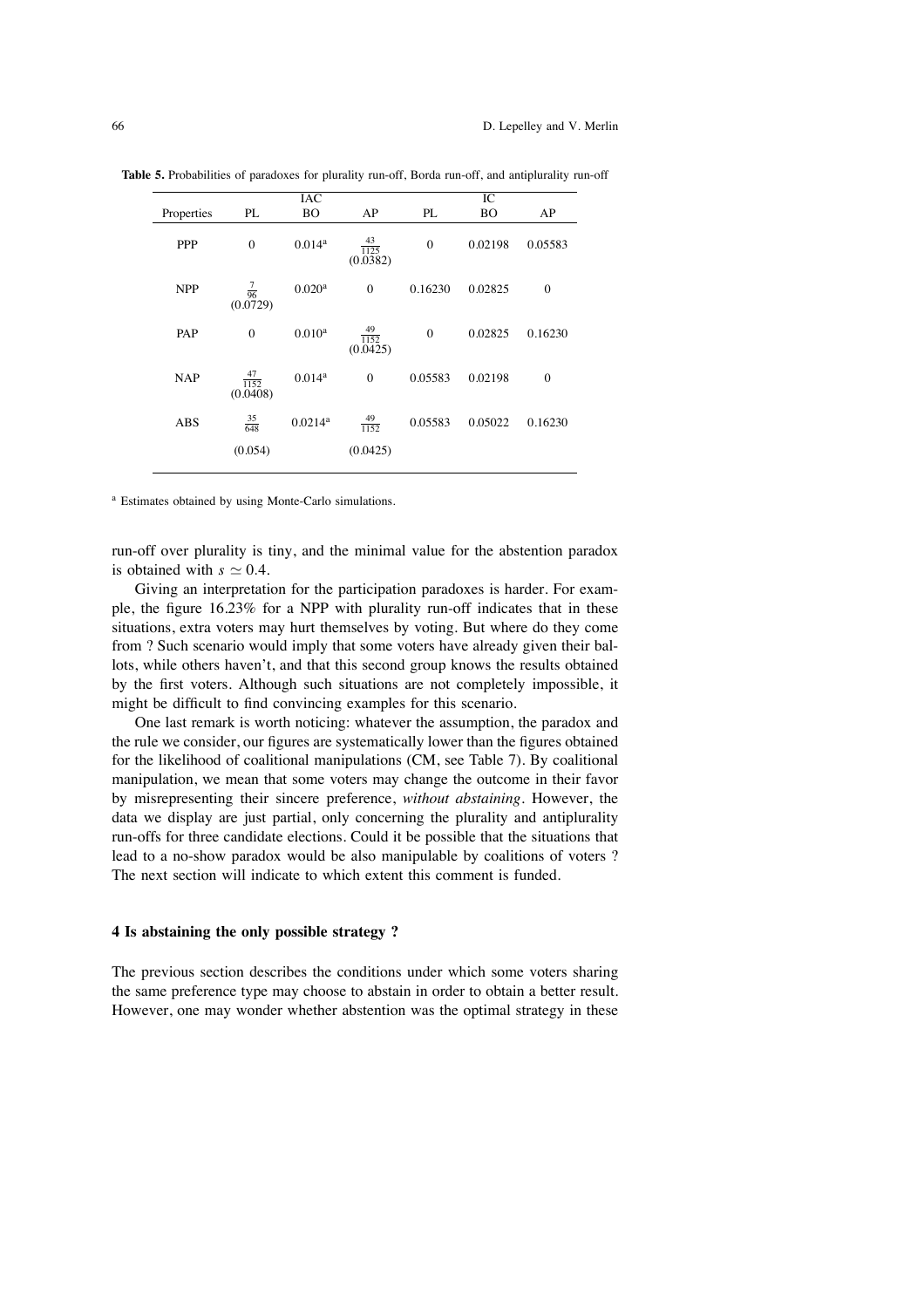|            |                               | IAC                |                               |              | $\overline{IC}$ |          |
|------------|-------------------------------|--------------------|-------------------------------|--------------|-----------------|----------|
| Properties | PL                            | <b>BO</b>          | AP                            | PL           | <b>BO</b>       | AP       |
| <b>PPP</b> | $\mathbf{0}$                  | 0.014 <sup>a</sup> | $\frac{43}{1125}$<br>(0.0382) | $\mathbf{0}$ | 0.02198         | 0.05583  |
| <b>NPP</b> | $\frac{7}{96}$<br>(0.0729)    | 0.020 <sup>a</sup> | $\theta$                      | 0.16230      | 0.02825         | $\theta$ |
| PAP        | $\mathbf{0}$                  | $0.010^{a}$        | $\frac{49}{1152}$<br>(0.0425) | $\mathbf{0}$ | 0.02825         | 0.16230  |
| <b>NAP</b> | $\frac{47}{1152}$<br>(0.0408) | 0.014 <sup>a</sup> | $\mathbf{0}$                  | 0.05583      | 0.02198         | $\theta$ |
| <b>ABS</b> | $\frac{35}{648}$              | 0.0214a            | $\frac{49}{1152}$             | 0.05583      | 0.05022         | 0.16230  |
|            | (0.054)                       |                    | (0.0425)                      |              |                 |          |

**Table 5.** Probabilities of paradoxes for plurality run-off, Borda run-off, and antiplurality run-off

<sup>a</sup> Estimates obtained by using Monte-Carlo simulations.

run-off over plurality is tiny, and the minimal value for the abstention paradox is obtained with  $s \approx 0.4$ .

Giving an interpretation for the participation paradoxes is harder. For example, the figure 16.23% for a NPP with plurality run-off indicates that in these situations, extra voters may hurt themselves by voting. But where do they come from ? Such scenario would imply that some voters have already given their ballots, while others haven't, and that this second group knows the results obtained by the first voters. Although such situations are not completely impossible, it might be difficult to find convincing examples for this scenario.

One last remark is worth noticing: whatever the assumption, the paradox and the rule we consider, our figures are systematically lower than the figures obtained for the likelihood of coalitional manipulations (CM, see Table 7). By coalitional manipulation, we mean that some voters may change the outcome in their favor by misrepresenting their sincere preference, *without abstaining*. However, the data we display are just partial, only concerning the plurality and antiplurality run-offs for three candidate elections. Could it be possible that the situations that lead to a no-show paradox would be also manipulable by coalitions of voters ? The next section will indicate to which extent this comment is funded.

#### **4 Is abstaining the only possible strategy ?**

The previous section describes the conditions under which some voters sharing the same preference type may choose to abstain in order to obtain a better result. However, one may wonder whether abstention was the optimal strategy in these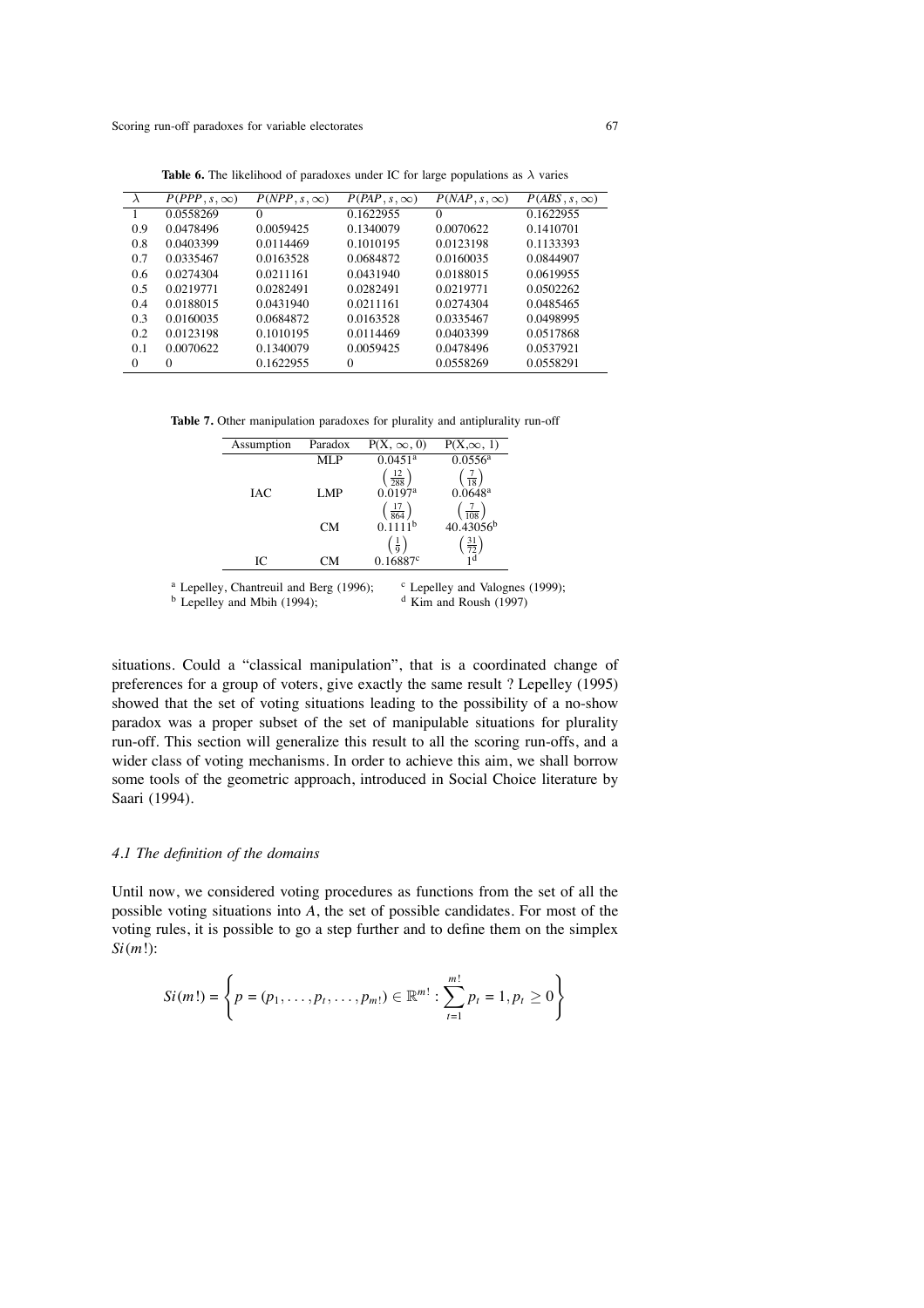| $\lambda$ | $P(PPP, s, \infty)$ | $P(NPP, s, \infty)$ | $P(PAP, s, \infty)$ | $P(NAP, s, \infty)$ | $P(ABS, s, \infty)$ |
|-----------|---------------------|---------------------|---------------------|---------------------|---------------------|
|           | 0.0558269           | $\Omega$            | 0.1622955           | $\Omega$            | 0.1622955           |
| 0.9       | 0.0478496           | 0.0059425           | 0.1340079           | 0.0070622           | 0.1410701           |
| 0.8       | 0.0403399           | 0.0114469           | 0.1010195           | 0.0123198           | 0.1133393           |
| 0.7       | 0.0335467           | 0.0163528           | 0.0684872           | 0.0160035           | 0.0844907           |
| 0.6       | 0.0274304           | 0.0211161           | 0.0431940           | 0.0188015           | 0.0619955           |
| 0.5       | 0.0219771           | 0.0282491           | 0.0282491           | 0.0219771           | 0.0502262           |
| 0.4       | 0.0188015           | 0.0431940           | 0.0211161           | 0.0274304           | 0.0485465           |
| 0.3       | 0.0160035           | 0.0684872           | 0.0163528           | 0.0335467           | 0.0498995           |
| 0.2       | 0.0123198           | 0.1010195           | 0.0114469           | 0.0403399           | 0.0517868           |
| 0.1       | 0.0070622           | 0.1340079           | 0.0059425           | 0.0478496           | 0.0537921           |
| $\Omega$  | $\Omega$            | 0.1622955           | $\Omega$            | 0.0558269           | 0.0558291           |

**Table 6.** The likelihood of paradoxes under IC for large populations as  $\lambda$  varies

**Table 7.** Other manipulation paradoxes for plurality and antiplurality run-off

| Assumption | Paradox   | $P(X, \infty, 0)$             | $P(X,\infty, 1)$                                      |
|------------|-----------|-------------------------------|-------------------------------------------------------|
|            | MLP       | $0.0451$ <sup>a</sup>         | 0.0556a                                               |
|            |           | $\left(\frac{12}{288}\right)$ | $\left(\frac{7}{18}\right)$                           |
| <b>IAC</b> | LMP       | $0.0197$ <sup>a</sup>         | $0.0648$ <sup>a</sup>                                 |
|            |           | $\left(\frac{17}{864}\right)$ | $\left(\frac{7}{108}\right)$<br>40.43056 <sup>b</sup> |
|            | <b>CM</b> |                               |                                                       |
|            |           | $(\frac{1}{9})$               | $\left(\frac{31}{72}\right)$                          |
| IС         | CМ        | 0.16887c                      |                                                       |
|            |           |                               |                                                       |

<sup>a</sup> Lepelley, Chantreuil and Berg (1996);

```
c Lepelley and Valognes (1999);
```
 $<sup>b</sup>$  Lepelley and Mbih (1994);</sup>

```
d Kim and Roush (1997)
```
situations. Could a "classical manipulation", that is a coordinated change of preferences for a group of voters, give exactly the same result ? Lepelley (1995) showed that the set of voting situations leading to the possibility of a no-show paradox was a proper subset of the set of manipulable situations for plurality run-off. This section will generalize this result to all the scoring run-offs, and a wider class of voting mechanisms. In order to achieve this aim, we shall borrow some tools of the geometric approach, introduced in Social Choice literature by Saari (1994).

## *4.1 The definition of the domains*

Until now, we considered voting procedures as functions from the set of all the possible voting situations into *A*, the set of possible candidates. For most of the voting rules, it is possible to go a step further and to define them on the simplex *Si*(*m*!):

$$
Si(m!) = \left\{ p = (p_1, \ldots, p_t, \ldots, p_{m!}) \in \mathbb{R}^{m!} : \sum_{t=1}^{m!} p_t = 1, p_t \ge 0 \right\}
$$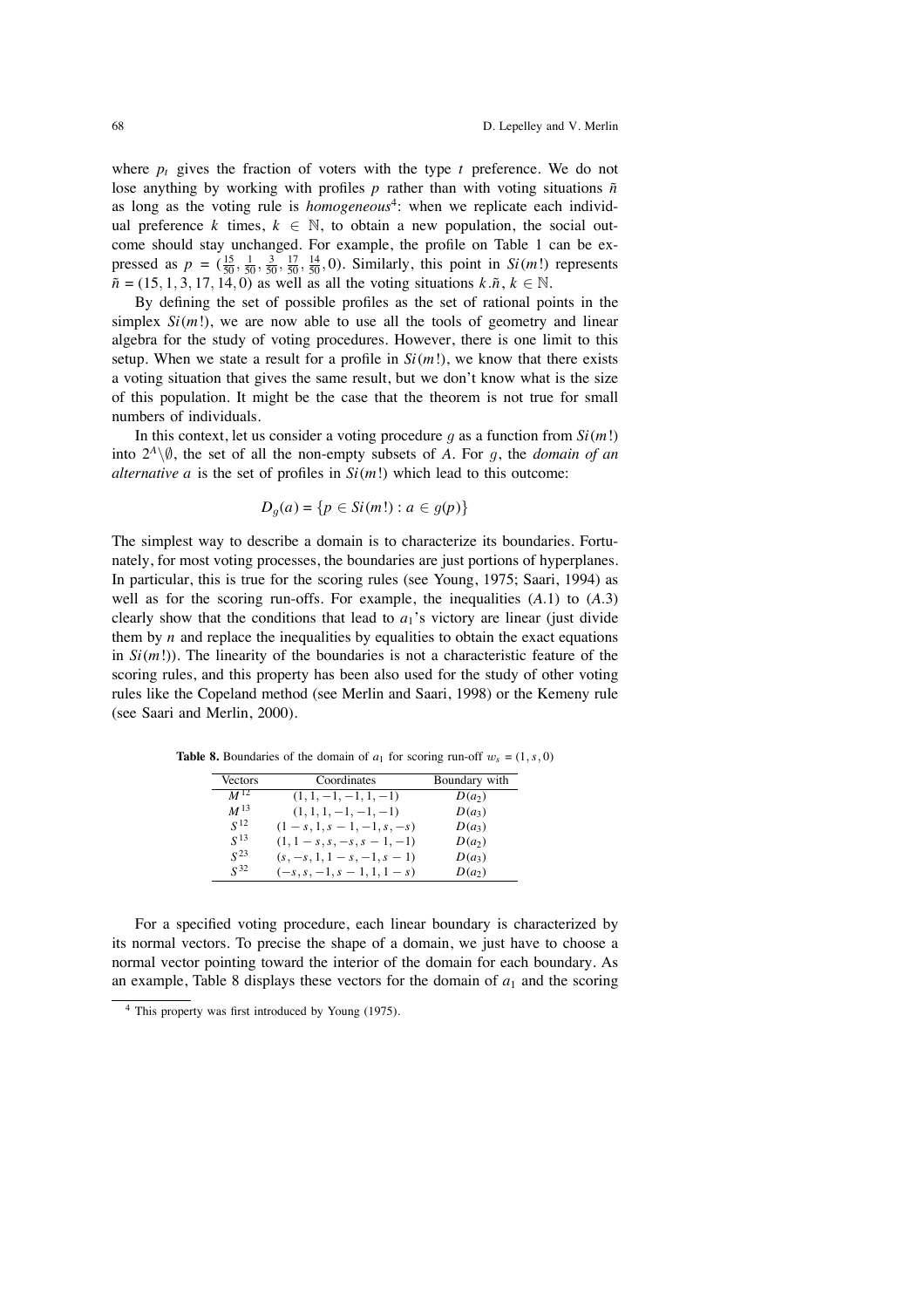where  $p_t$  gives the fraction of voters with the type  $t$  preference. We do not lose anything by working with profiles  $p$  rather than with voting situations  $\tilde{n}$ as long as the voting rule is *homogeneous*<sup>4</sup>: when we replicate each individual preference  $k$  times,  $k \in \mathbb{N}$ , to obtain a new population, the social outcome should stay unchanged. For example, the profile on Table 1 can be expressed as  $p = (\frac{15}{50}, \frac{1}{50}, \frac{3}{50}, \frac{17}{50}, \frac{14}{50}, 0)$ . Similarly, this point in *Si(m!)* represents  $\tilde{n}$  = (15, 1, 3, 17, 14, 0) as well as all the voting situations  $k.\tilde{n}$ ,  $k \in \mathbb{N}$ .

By defining the set of possible profiles as the set of rational points in the simplex  $Si(m!)$ , we are now able to use all the tools of geometry and linear algebra for the study of voting procedures. However, there is one limit to this setup. When we state a result for a profile in  $Si(m!)$ , we know that there exists a voting situation that gives the same result, but we don't know what is the size of this population. It might be the case that the theorem is not true for small numbers of individuals.

In this context, let us consider a voting procedure q as a function from  $Si(m!)$ into  $2<sup>A</sup>\sqrt{\emptyset}$ , the set of all the non-empty subsets of *A*. For *q*, the *domain of an alternative a* is the set of profiles in  $Si(m!)$  which lead to this outcome:

$$
D_g(a) = \{p \in Si(m!) : a \in g(p)\}\
$$

The simplest way to describe a domain is to characterize its boundaries. Fortunately, for most voting processes, the boundaries are just portions of hyperplanes. In particular, this is true for the scoring rules (see Young, 1975; Saari, 1994) as well as for the scoring run-offs. For example, the inequalities  $(A.1)$  to  $(A.3)$ clearly show that the conditions that lead to  $a_1$ 's victory are linear (just divide them by  $n$  and replace the inequalities by equalities to obtain the exact equations in  $Si(m!)$ . The linearity of the boundaries is not a characteristic feature of the scoring rules, and this property has been also used for the study of other voting rules like the Copeland method (see Merlin and Saari, 1998) or the Kemeny rule (see Saari and Merlin, 2000).

**Table 8.** Boundaries of the domain of  $a_1$  for scoring run-off  $w_s = (1, s, 0)$ 

| <b>Vectors</b>  | Coordinates                    | Boundary with |
|-----------------|--------------------------------|---------------|
| $M^{12}$        | $(1, 1, -1, -1, 1, -1)$        | $D(a_2)$      |
| $M^{13}$        | $(1, 1, 1, -1, -1, -1)$        | $D(a_3)$      |
| S <sup>12</sup> | $(1-s, 1, s-1, -1, s, -s)$     | $D(a_3)$      |
| $\sqrt{13}$     | $(1, 1-s, s, -s, s-1, -1)$     | $D(a_2)$      |
| $\sqrt{23}$     | $(s, -s, 1, 1-s, -1, s-1)$     | $D(a_3)$      |
| $\sqrt{32}$     | $(-s, s, -1, s - 1, 1, 1 - s)$ | $D(a_2)$      |

For a specified voting procedure, each linear boundary is characterized by its normal vectors. To precise the shape of a domain, we just have to choose a normal vector pointing toward the interior of the domain for each boundary. As an example, Table 8 displays these vectors for the domain of  $a_1$  and the scoring

<sup>4</sup> This property was first introduced by Young (1975).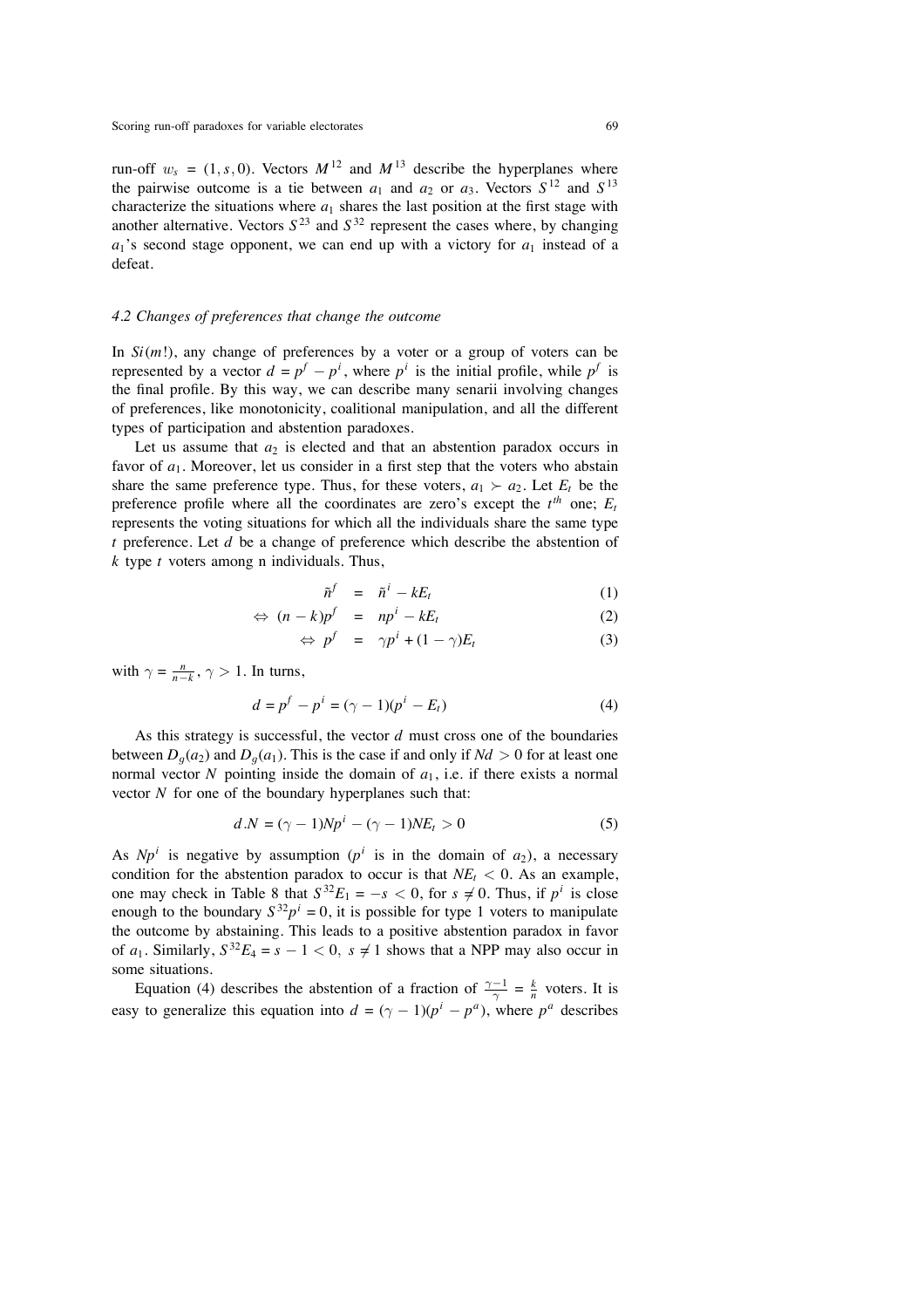run-off  $w_s = (1, s, 0)$ . Vectors  $M^{12}$  and  $M^{13}$  describe the hyperplanes where the pairwise outcome is a tie between  $a_1$  and  $a_2$  or  $a_3$ . Vectors  $S^{12}$  and  $S^{13}$ characterize the situations where  $a_1$  shares the last position at the first stage with another alternative. Vectors  $S^{23}$  and  $S^{32}$  represent the cases where, by changing  $a_1$ 's second stage opponent, we can end up with a victory for  $a_1$  instead of a defeat.

#### *4.2 Changes of preferences that change the outcome*

In  $Si(m!)$ , any change of preferences by a voter or a group of voters can be represented by a vector  $d = p^f - p^i$ , where  $p^i$  is the initial profile, while  $p^f$  is the final profile. By this way, we can describe many senarii involving changes of preferences, like monotonicity, coalitional manipulation, and all the different types of participation and abstention paradoxes.

Let us assume that  $a_2$  is elected and that an abstention paradox occurs in favor of *a*1. Moreover, let us consider in a first step that the voters who abstain share the same preference type. Thus, for these voters,  $a_1 \succ a_2$ . Let  $E_t$  be the preference profile where all the coordinates are zero's except the  $t^{th}$  one;  $E_t$ represents the voting situations for which all the individuals share the same type *t* preference. Let *d* be a change of preference which describe the abstention of *k* type *t* voters among n individuals. Thus,

$$
\tilde{n}^f = \tilde{n}^i - kE_t \tag{1}
$$

$$
\Leftrightarrow (n-k)p^f = np^i - kE_t \tag{2}
$$

$$
\Leftrightarrow p^f = \gamma p^i + (1 - \gamma) E_t \tag{3}
$$

with  $\gamma = \frac{n}{n-k}$ ,  $\gamma > 1$ . In turns,

$$
d = p^f - p^i = (\gamma - 1)(p^i - E_t)
$$
 (4)

As this strategy is successful, the vector *d* must cross one of the boundaries between  $D_q(a_2)$  and  $D_q(a_1)$ . This is the case if and only if  $Nd > 0$  for at least one normal vector  $N$  pointing inside the domain of  $a_1$ , i.e. if there exists a normal vector *N* for one of the boundary hyperplanes such that:

$$
d.N = (\gamma - 1)Np^{i} - (\gamma - 1)NE_{t} > 0
$$
\n<sup>(5)</sup>

As  $Np^i$  is negative by assumption ( $p^i$  is in the domain of  $a_2$ ), a necessary condition for the abstention paradox to occur is that  $NE<sub>t</sub> < 0$ . As an example, one may check in Table 8 that  $S^{32}E_1 = -s < 0$ , for  $s \neq 0$ . Thus, if  $p^i$  is close enough to the boundary  $S^{32}p^i = 0$ , it is possible for type 1 voters to manipulate the outcome by abstaining. This leads to a positive abstention paradox in favor of  $a_1$ . Similarly,  $S^{32}E_4 = s - 1 < 0$ ,  $s \neq 1$  shows that a NPP may also occur in some situations.

Equation (4) describes the abstention of a fraction of  $\frac{\gamma - 1}{\gamma} = \frac{k}{n}$  voters. It is easy to generalize this equation into  $d = (\gamma - 1)(p^{i} - p^{a})$ , where  $p^{a}$  describes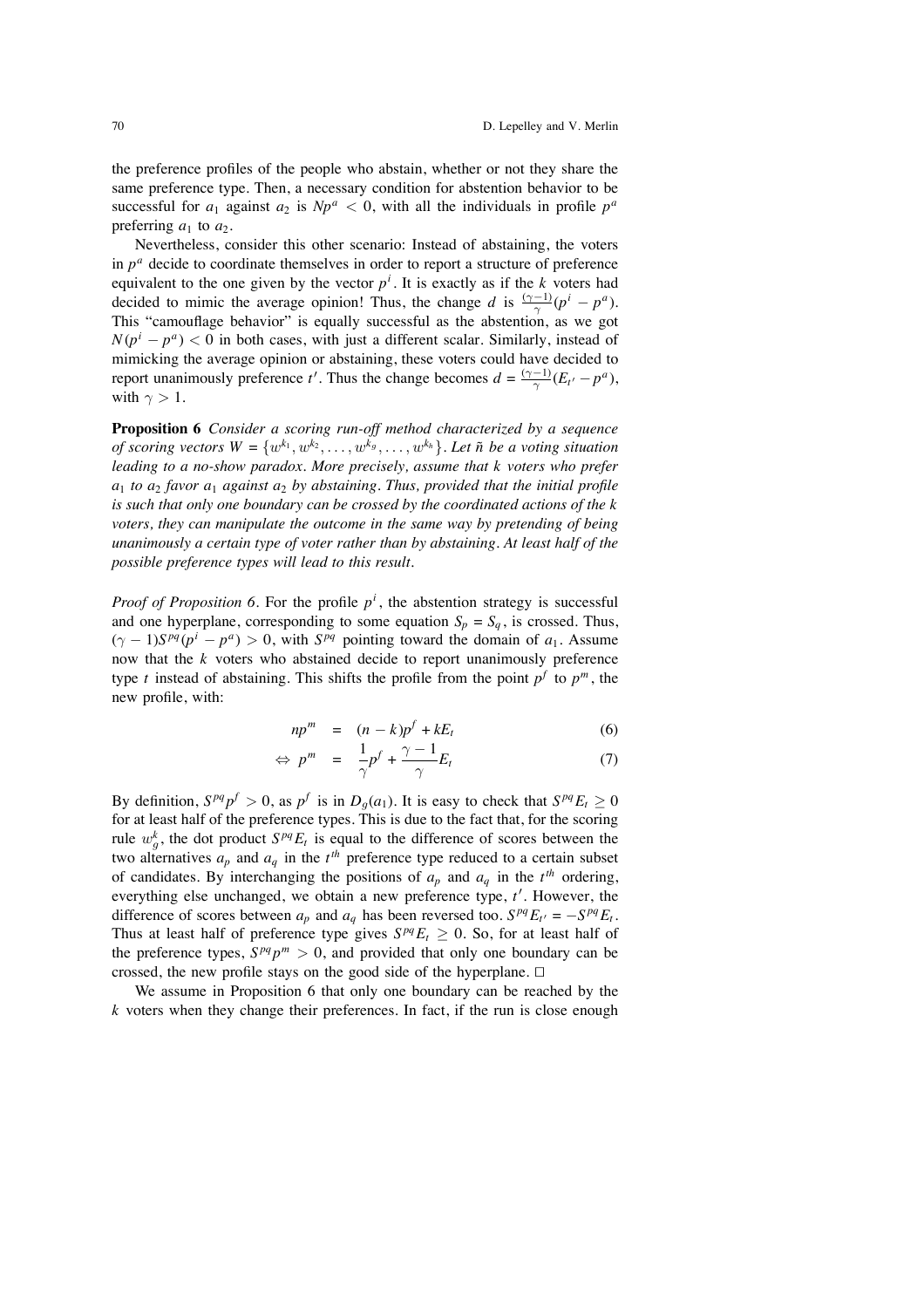the preference profiles of the people who abstain, whether or not they share the same preference type. Then, a necessary condition for abstention behavior to be successful for  $a_1$  against  $a_2$  is  $Np^a < 0$ , with all the individuals in profile  $p^a$ preferring  $a_1$  to  $a_2$ .

Nevertheless, consider this other scenario: Instead of abstaining, the voters in  $p^a$  decide to coordinate themselves in order to report a structure of preference equivalent to the one given by the vector  $p^i$ . It is exactly as if the *k* voters had decided to mimic the average opinion! Thus, the change *d* is  $\frac{(\gamma-1)}{\gamma}(p^i - p^a)$ . This "camouflage behavior" is equally successful as the abstention, as we got  $N(p^{i} - p^{a}) < 0$  in both cases, with just a different scalar. Similarly, instead of mimicking the average opinion or abstaining, these voters could have decided to report unanimously preference *t'*. Thus the change becomes  $d = \frac{(\gamma - 1)}{\gamma} (E_t - p^a)$ , with  $\gamma > 1$ .

**Proposition 6** *Consider a scoring run-off method characterized by a sequence of scoring vectors*  $W = \{w^{k_1}, w^{k_2}, \ldots, w^{k_g}, \ldots, w^{k_h}\}\$ . Let  $\tilde{n}$  be a voting situation *leading to a no-show paradox. More precisely, assume that k voters who prefer a*<sup>1</sup> *to a*<sup>2</sup> *favor a*<sup>1</sup> *against a*<sup>2</sup> *by abstaining. Thus, provided that the initial profile is such that only one boundary can be crossed by the coordinated actions of the k voters, they can manipulate the outcome in the same way by pretending of being unanimously a certain type of voter rather than by abstaining. At least half of the possible preference types will lead to this result.*

*Proof of Proposition 6.* For the profile  $p<sup>i</sup>$ , the abstention strategy is successful and one hyperplane, corresponding to some equation  $S_p = S_q$ , is crossed. Thus,  $(\gamma - 1)S^{pq}(p^i - p^a) > 0$ , with  $S^{pq}$  pointing toward the domain of  $a_1$ . Assume now that the *k* voters who abstained decide to report unanimously preference type *t* instead of abstaining. This shifts the profile from the point  $p^f$  to  $p^m$ , the new profile, with:

$$
np^m = (n-k)p^f + kE_t \tag{6}
$$

$$
\Leftrightarrow p^m = \frac{1}{\gamma} p^f + \frac{\gamma - 1}{\gamma} E_t \tag{7}
$$

By definition,  $S^{pq}p^f > 0$ , as  $p^f$  is in  $D_q(a_1)$ . It is easy to check that  $S^{pq}E_t \ge 0$ for at least half of the preference types. This is due to the fact that, for the scoring rule  $w_g^k$ , the dot product  $S^{pq}E_t$  is equal to the difference of scores between the two alternatives  $a_p$  and  $a_q$  in the  $t^{th}$  preference type reduced to a certain subset of candidates. By interchanging the positions of  $a_p$  and  $a_q$  in the  $t^{th}$  ordering, everything else unchanged, we obtain a new preference type, t'. However, the difference of scores between  $a_p$  and  $a_q$  has been reversed too.  $S^{pq}E_{t'} = -S^{pq}E_t$ . Thus at least half of preference type gives  $S^{pq}E_t \geq 0$ . So, for at least half of the preference types,  $S^{pq}p^m > 0$ , and provided that only one boundary can be crossed, the new profile stays on the good side of the hyperplane.  $\Box$ 

We assume in Proposition 6 that only one boundary can be reached by the *k* voters when they change their preferences. In fact, if the run is close enough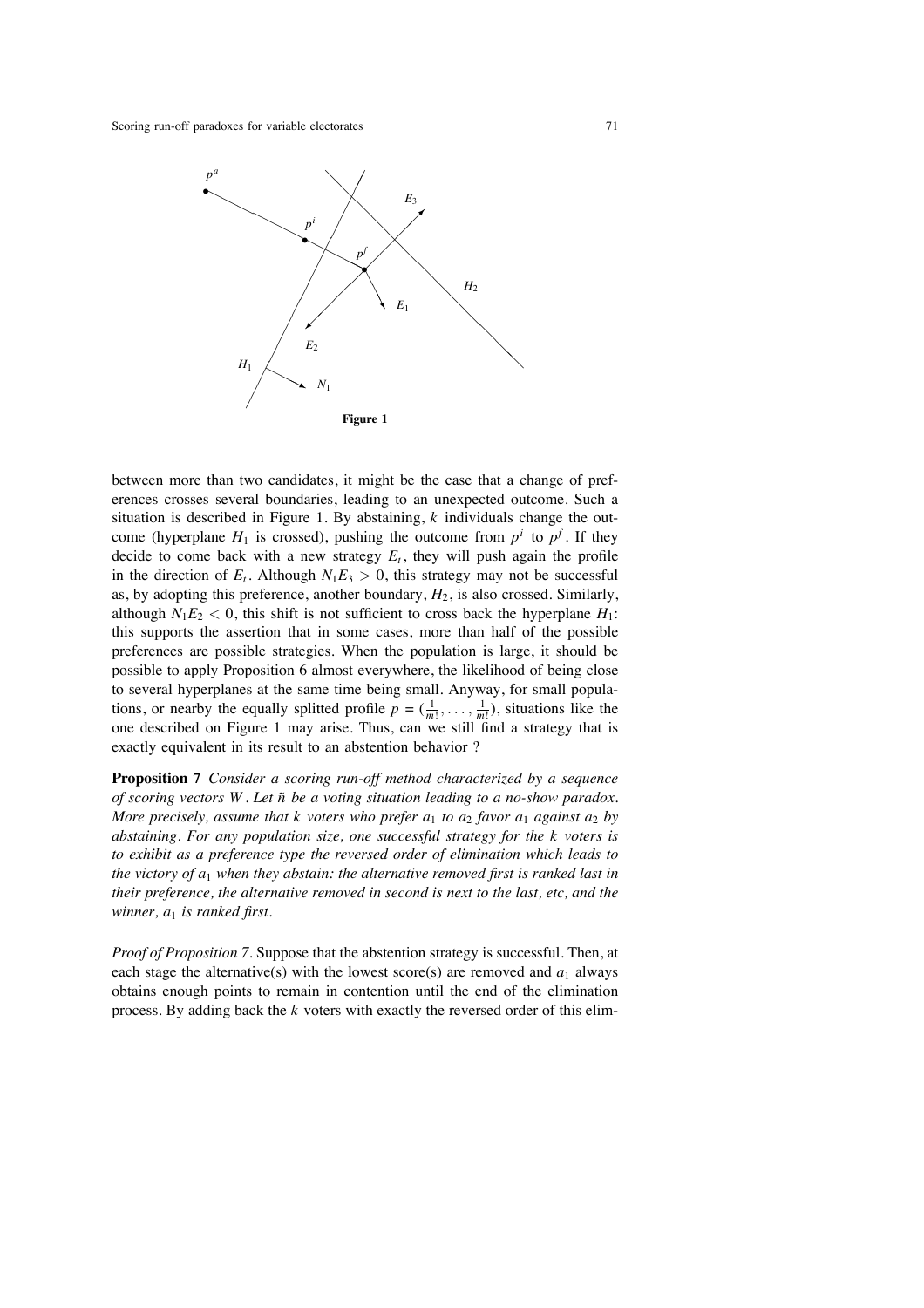

between more than two candidates, it might be the case that a change of preferences crosses several boundaries, leading to an unexpected outcome. Such a situation is described in Figure 1. By abstaining, *k* individuals change the outcome (hyperplane  $H_1$  is crossed), pushing the outcome from  $p^i$  to  $p^f$ . If they decide to come back with a new strategy  $E_t$ , they will push again the profile in the direction of  $E_t$ . Although  $N_1E_3 > 0$ , this strategy may not be successful as, by adopting this preference, another boundary,  $H_2$ , is also crossed. Similarly, although  $N_1E_2 < 0$ , this shift is not sufficient to cross back the hyperplane  $H_1$ : this supports the assertion that in some cases, more than half of the possible preferences are possible strategies. When the population is large, it should be possible to apply Proposition 6 almost everywhere, the likelihood of being close to several hyperplanes at the same time being small. Anyway, for small populations, or nearby the equally splitted profile  $p = (\frac{1}{m!}, \dots, \frac{1}{m!})$ , situations like the one described on Figure 1 may arise. Thus, can we still find a strategy that is exactly equivalent in its result to an abstention behavior ?

**Proposition 7** *Consider a scoring run-off method characterized by a sequence of scoring vectors W . Let n be a voting situation leading to a no-show paradox.* ˜ *More precisely, assume that k voters who prefer*  $a_1$  *to*  $a_2$  *favor*  $a_1$  *against*  $a_2$  *by abstaining. For any population size, one successful strategy for the k voters is to exhibit as a preference type the reversed order of elimination which leads to the victory of a*<sup>1</sup> *when they abstain: the alternative removed first is ranked last in their preference, the alternative removed in second is next to the last, etc, and the winner, a*<sup>1</sup> *is ranked first.*

*Proof of Proposition 7*. Suppose that the abstention strategy is successful. Then, at each stage the alternative(s) with the lowest score(s) are removed and  $a_1$  always obtains enough points to remain in contention until the end of the elimination process. By adding back the *k* voters with exactly the reversed order of this elim-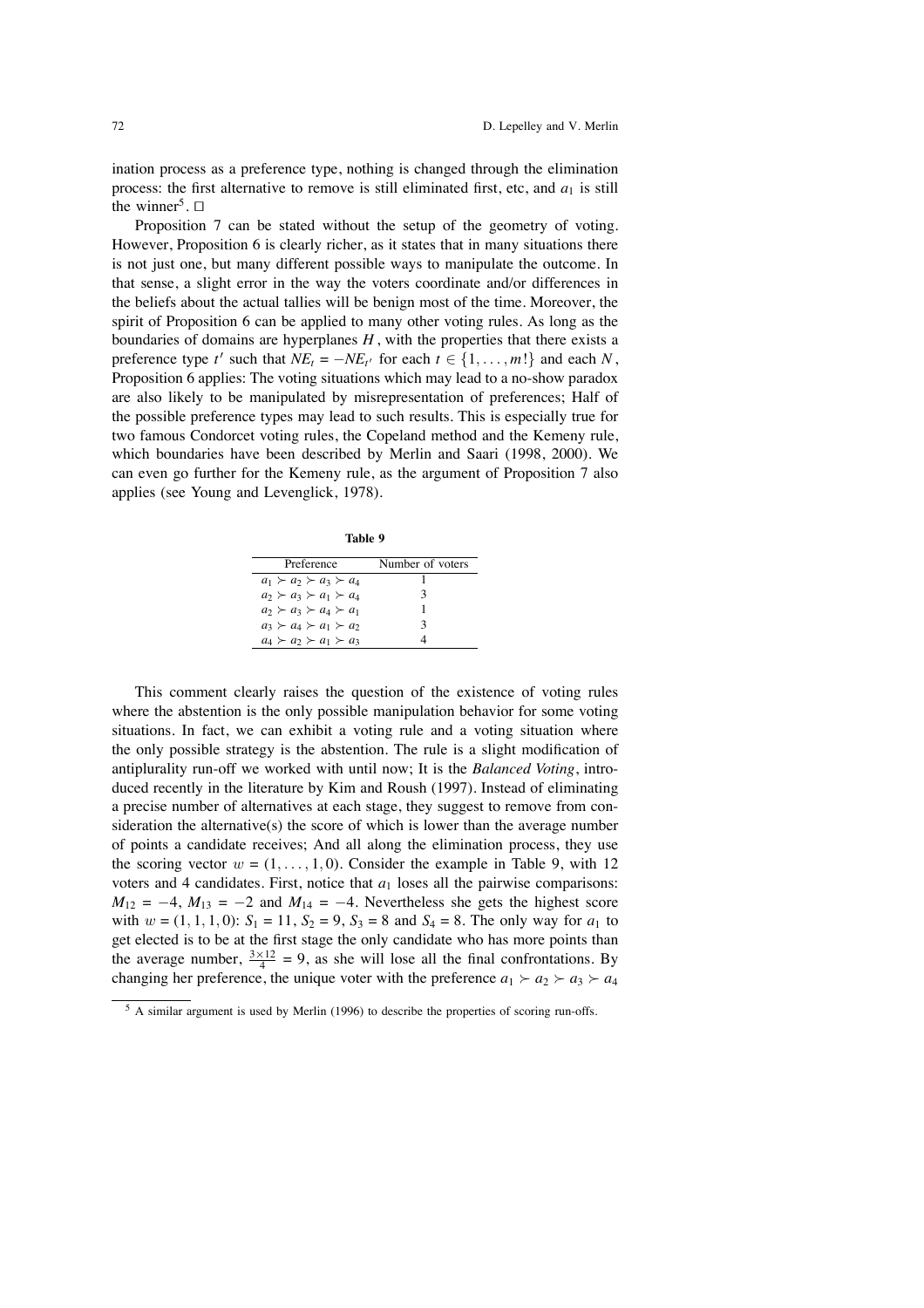ination process as a preference type, nothing is changed through the elimination process: the first alternative to remove is still eliminated first, etc, and  $a_1$  is still the winner<sup>5</sup>.  $\Box$ 

Proposition 7 can be stated without the setup of the geometry of voting. However, Proposition 6 is clearly richer, as it states that in many situations there is not just one, but many different possible ways to manipulate the outcome. In that sense, a slight error in the way the voters coordinate and/or differences in the beliefs about the actual tallies will be benign most of the time. Moreover, the spirit of Proposition 6 can be applied to many other voting rules. As long as the boundaries of domains are hyperplanes *H* , with the properties that there exists a preference type *t*' such that  $NE_t = -NE_{t}$  for each  $t \in \{1, ..., m!\}$  and each *N*, Proposition 6 applies: The voting situations which may lead to a no-show paradox are also likely to be manipulated by misrepresentation of preferences; Half of the possible preference types may lead to such results. This is especially true for two famous Condorcet voting rules, the Copeland method and the Kemeny rule, which boundaries have been described by Merlin and Saari (1998, 2000). We can even go further for the Kemeny rule, as the argument of Proposition 7 also applies (see Young and Levenglick, 1978).

**Table 9**

| Preference                          | Number of voters |
|-------------------------------------|------------------|
| $a_1 \succ a_2 \succ a_3 \succ a_4$ |                  |
| $a_2 \succ a_3 \succ a_1 \succ a_4$ |                  |
| $a_2 \succ a_3 \succ a_4 \succ a_1$ |                  |
| $a_3 \succ a_4 \succ a_1 \succ a_2$ | 3                |
| $a_4 \succ a_2 \succ a_1 \succ a_3$ |                  |

This comment clearly raises the question of the existence of voting rules where the abstention is the only possible manipulation behavior for some voting situations. In fact, we can exhibit a voting rule and a voting situation where the only possible strategy is the abstention. The rule is a slight modification of antiplurality run-off we worked with until now; It is the *Balanced Voting*, introduced recently in the literature by Kim and Roush (1997). Instead of eliminating a precise number of alternatives at each stage, they suggest to remove from consideration the alternative(s) the score of which is lower than the average number of points a candidate receives; And all along the elimination process, they use the scoring vector  $w = (1, \ldots, 1, 0)$ . Consider the example in Table 9, with 12 voters and 4 candidates. First, notice that  $a_1$  loses all the pairwise comparisons:  $M_{12} = -4$ ,  $M_{13} = -2$  and  $M_{14} = -4$ . Nevertheless she gets the highest score with  $w = (1, 1, 1, 0)$ :  $S_1 = 11$ ,  $S_2 = 9$ ,  $S_3 = 8$  and  $S_4 = 8$ . The only way for  $a_1$  to get elected is to be at the first stage the only candidate who has more points than the average number,  $\frac{3 \times 12}{4} = 9$ , as she will lose all the final confrontations. By changing her preference, the unique voter with the preference  $a_1 \succ a_2 \succ a_3 \succ a_4$ 

<sup>&</sup>lt;sup>5</sup> A similar argument is used by Merlin (1996) to describe the properties of scoring run-offs.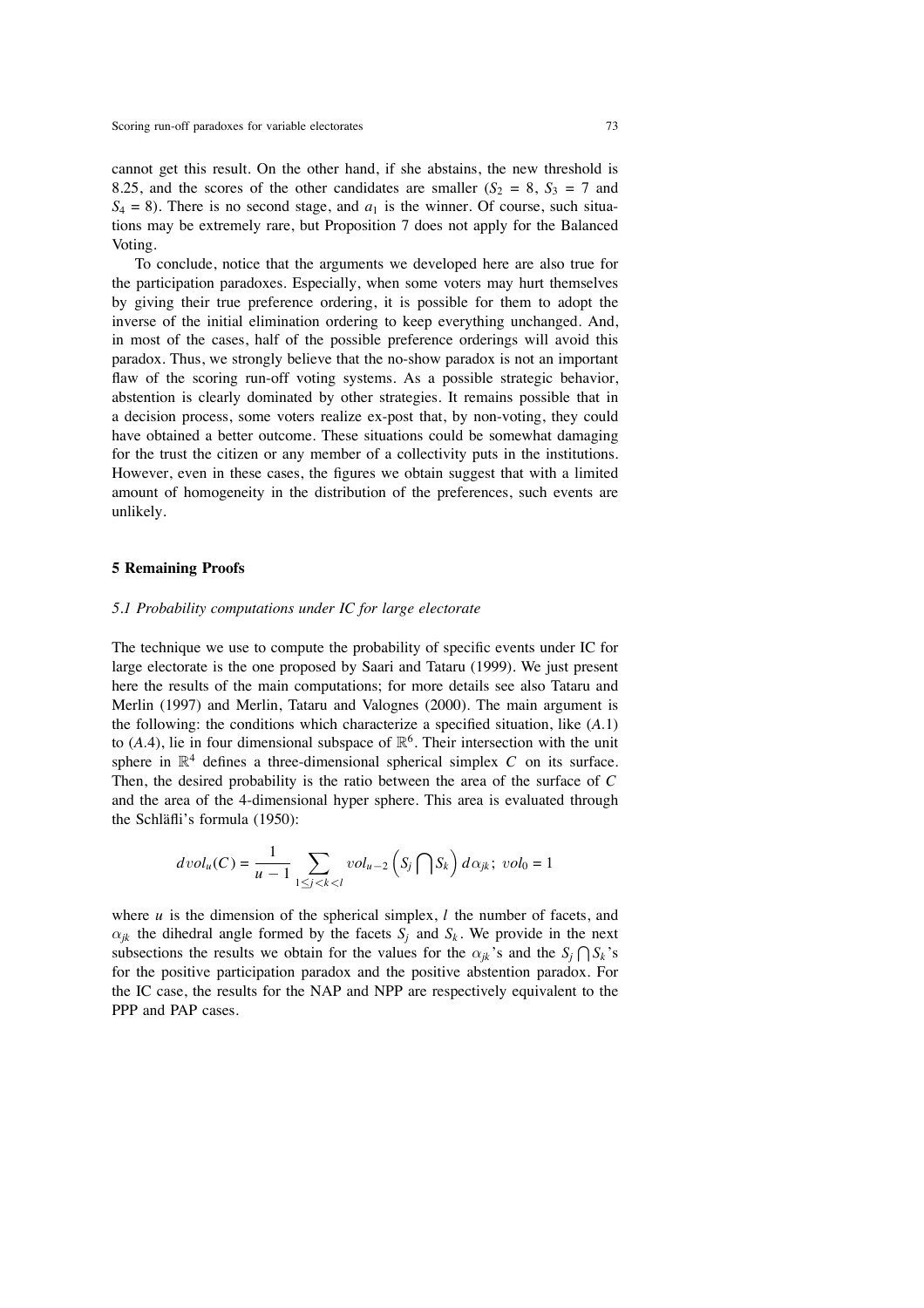cannot get this result. On the other hand, if she abstains, the new threshold is 8.25, and the scores of the other candidates are smaller  $(S_2 = 8, S_3 = 7$  and  $S_4 = 8$ ). There is no second stage, and  $a_1$  is the winner. Of course, such situations may be extremely rare, but Proposition 7 does not apply for the Balanced Voting.

To conclude, notice that the arguments we developed here are also true for the participation paradoxes. Especially, when some voters may hurt themselves by giving their true preference ordering, it is possible for them to adopt the inverse of the initial elimination ordering to keep everything unchanged. And, in most of the cases, half of the possible preference orderings will avoid this paradox. Thus, we strongly believe that the no-show paradox is not an important flaw of the scoring run-off voting systems. As a possible strategic behavior, abstention is clearly dominated by other strategies. It remains possible that in a decision process, some voters realize ex-post that, by non-voting, they could have obtained a better outcome. These situations could be somewhat damaging for the trust the citizen or any member of a collectivity puts in the institutions. However, even in these cases, the figures we obtain suggest that with a limited amount of homogeneity in the distribution of the preferences, such events are unlikely.

#### **5 Remaining Proofs**

#### *5.1 Probability computations under IC for large electorate*

The technique we use to compute the probability of specific events under IC for large electorate is the one proposed by Saari and Tataru (1999). We just present here the results of the main computations; for more details see also Tataru and Merlin (1997) and Merlin, Tataru and Valognes (2000). The main argument is the following: the conditions which characterize a specified situation, like (*A*.1) to  $(A.4)$ , lie in four dimensional subspace of  $\mathbb{R}^6$ . Their intersection with the unit sphere in  $\mathbb{R}^4$  defines a three-dimensional spherical simplex *C* on its surface. Then, the desired probability is the ratio between the area of the surface of *C* and the area of the 4-dimensional hyper sphere. This area is evaluated through the Schläfli's formula (1950):

$$
dvol_u(C) = \frac{1}{u-1} \sum_{1 \le j < k < l} vol_{u-2}\left(S_j \bigcap S_k\right) d\alpha_{jk}; vol_0 = 1
$$

where  $u$  is the dimension of the spherical simplex,  $l$  the number of facets, and  $\alpha_{ik}$  the dihedral angle formed by the facets  $S_i$  and  $S_k$ . We provide in the next subsections the results we obtain for the values for the  $\alpha_{jk}$ 's and the  $S_j \bigcap S_k$ 's for the positive participation paradox and the positive abstention paradox. For the IC case, the results for the NAP and NPP are respectively equivalent to the PPP and PAP cases.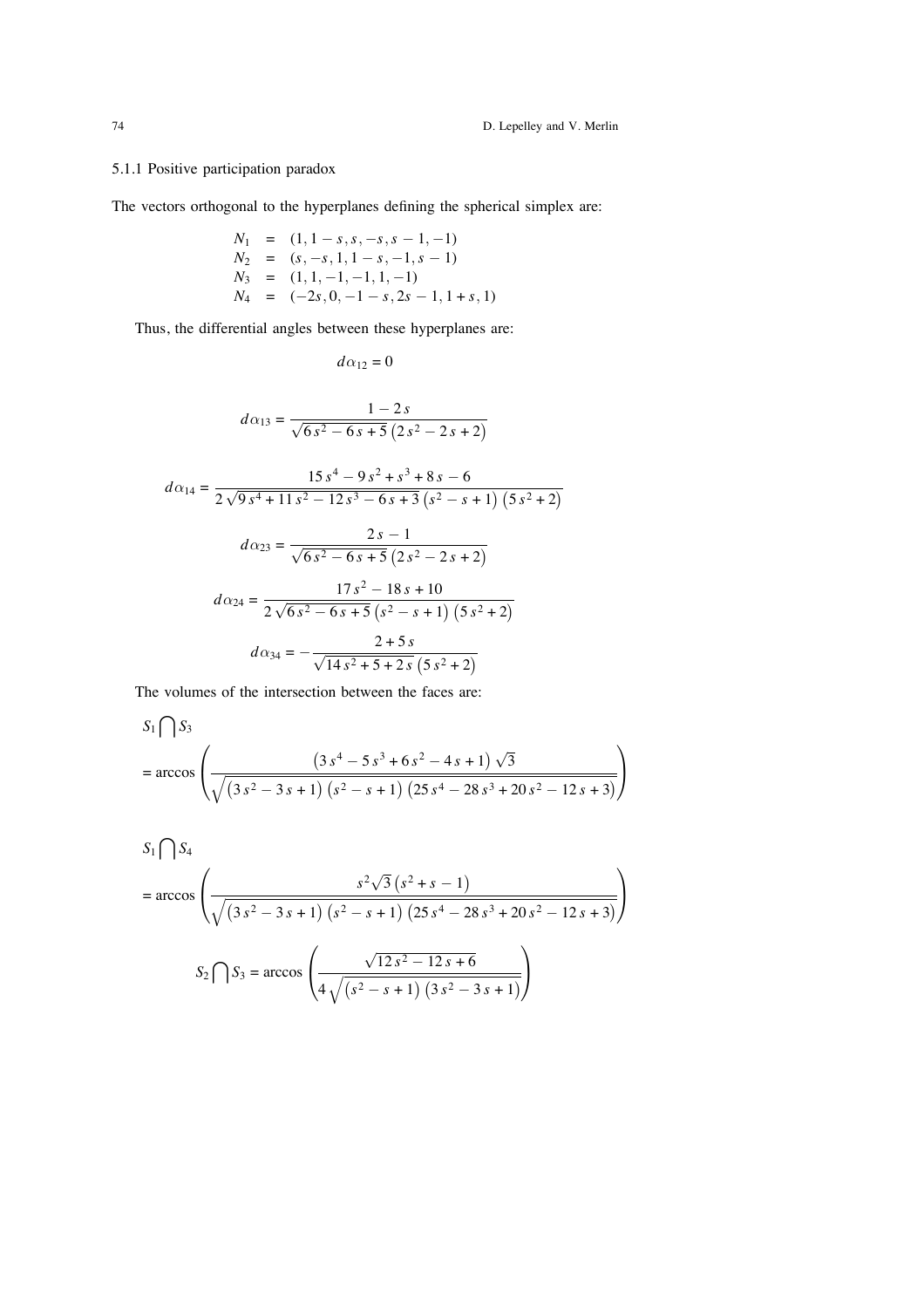## 5.1.1 Positive participation paradox

The vectors orthogonal to the hyperplanes defining the spherical simplex are:

$$
N_1 = (1, 1 - s, s, -s, s - 1, -1)
$$
  
\n
$$
N_2 = (s, -s, 1, 1 - s, -1, s - 1)
$$
  
\n
$$
N_3 = (1, 1, -1, -1, 1, -1)
$$
  
\n
$$
N_4 = (-2s, 0, -1 - s, 2s - 1, 1 + s, 1)
$$

Thus, the differential angles between these hyperplanes are:

$$
d\alpha_{12}=0
$$

$$
d\alpha_{13} = \frac{1-2s}{\sqrt{6s^2 - 6s + 5} (2s^2 - 2s + 2)}
$$

$$
d\alpha_{14} = \frac{15 s^4 - 9 s^2 + s^3 + 8 s - 6}{2 \sqrt{9 s^4 + 11 s^2 - 12 s^3 - 6 s + 3} (s^2 - s + 1) (5 s^2 + 2)}
$$
  

$$
d\alpha_{23} = \frac{2 s - 1}{\sqrt{6 s^2 - 6 s + 5} (2 s^2 - 2 s + 2)}
$$
  

$$
d\alpha_{24} = \frac{17 s^2 - 18 s + 10}{2 \sqrt{6 s^2 - 6 s + 5} (s^2 - s + 1) (5 s^2 + 2)}
$$
  

$$
d\alpha_{34} = -\frac{2 + 5 s}{\sqrt{14 s^2 + 5 + 2 s} (5 s^2 + 2)}
$$

The volumes of the intersection between the faces are:

$$
S_1 \bigcap S_3
$$
  
= arccos  $\left( \frac{\left(3 s^4 - 5 s^3 + 6 s^2 - 4 s + 1\right) \sqrt{3}}{\sqrt{\left(3 s^2 - 3 s + 1\right) \left(s^2 - s + 1\right) \left(25 s^4 - 28 s^3 + 20 s^2 - 12 s + 3\right)}} \right)$ 

$$
S_1 \bigcap S_4
$$
  
= arccos  $\left( \frac{s^2 \sqrt{3} (s^2 + s - 1)}{\sqrt{(3s^2 - 3s + 1) (s^2 - s + 1) (25s^4 - 28s^3 + 20s^2 - 12s + 3)}} \right)$   

$$
S_2 \bigcap S_3 = \arccos \left( \frac{\sqrt{12s^2 - 12s + 6}}{4 \sqrt{(s^2 - s + 1) (3s^2 - 3s + 1)}} \right)
$$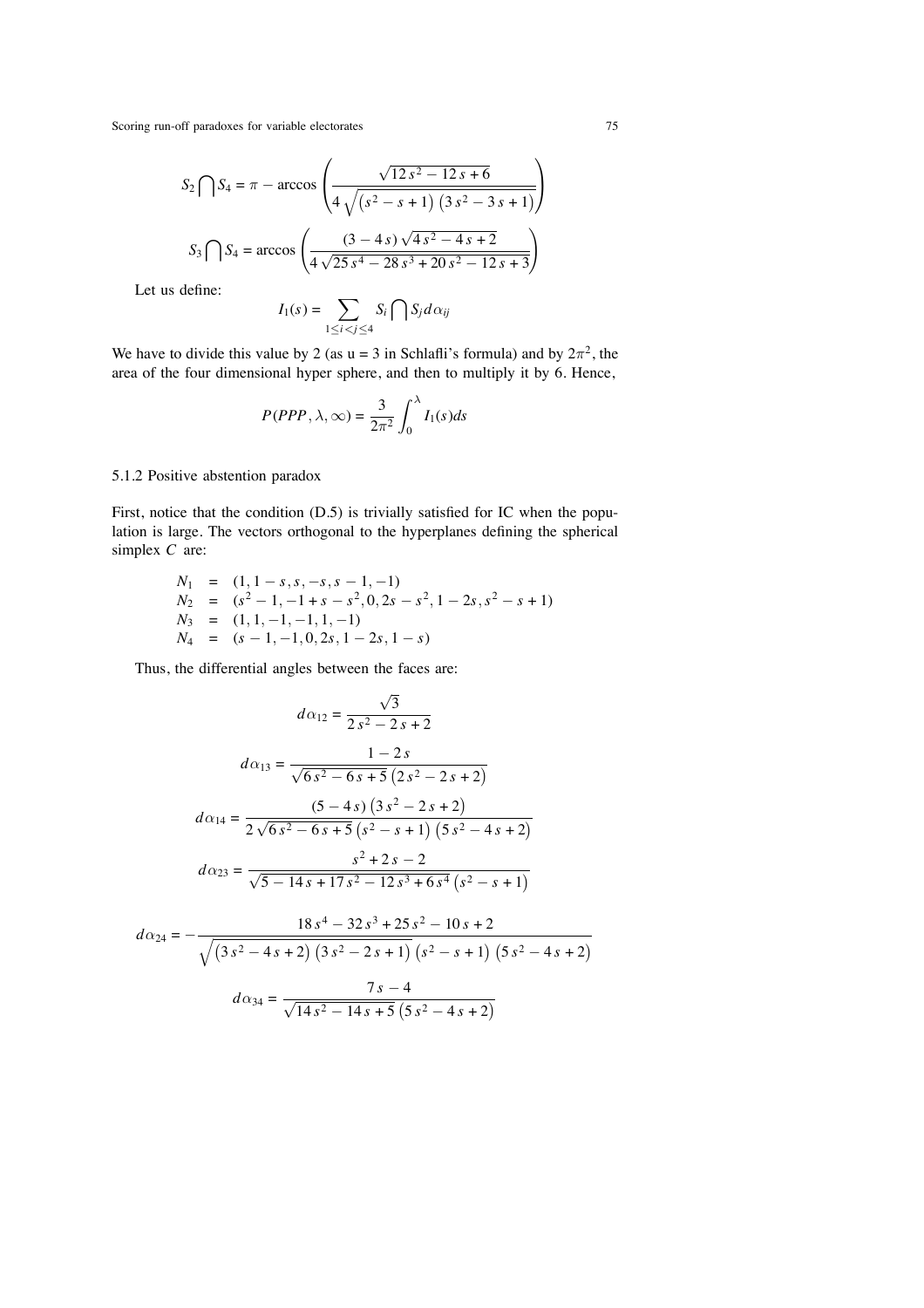$$
S_2 \bigcap S_4 = \pi - \arccos\left(\frac{\sqrt{12 s^2 - 12 s + 6}}{4 \sqrt{(s^2 - s + 1)(3 s^2 - 3 s + 1)}}\right)
$$

$$
S_3 \bigcap S_4 = \arccos\left(\frac{(3 - 4 s) \sqrt{4 s^2 - 4 s + 2}}{4 \sqrt{25 s^4 - 28 s^3 + 20 s^2 - 12 s + 3}}\right)
$$

Let us define:

$$
I_1(s) = \sum_{1 \leq i < j \leq 4} S_i \bigcap S_j d\alpha_{ij}
$$

We have to divide this value by 2 (as  $u = 3$  in Schlafli's formula) and by  $2\pi^2$ , the area of the four dimensional hyper sphere, and then to multiply it by 6. Hence,

$$
P(PPP,\lambda,\infty) = \frac{3}{2\pi^2} \int_0^{\lambda} I_1(s)ds
$$

## 5.1.2 Positive abstention paradox

First, notice that the condition (D.5) is trivially satisfied for IC when the population is large. The vectors orthogonal to the hyperplanes defining the spherical simplex *C* are:

$$
N_1 = (1, 1 - s, s, -s, s - 1, -1)
$$
  
\n
$$
N_2 = (s^2 - 1, -1 + s - s^2, 0, 2s - s^2, 1 - 2s, s^2 - s + 1)
$$
  
\n
$$
N_3 = (1, 1, -1, -1, 1, -1)
$$
  
\n
$$
N_4 = (s - 1, -1, 0, 2s, 1 - 2s, 1 - s)
$$

Thus, the differential angles between the faces are:

$$
d\alpha_{12} = \frac{\sqrt{3}}{2s^2 - 2s + 2}
$$

$$
d\alpha_{13} = \frac{1 - 2s}{\sqrt{6s^2 - 6s + 5} (2s^2 - 2s + 2)}
$$

$$
d\alpha_{14} = \frac{(5 - 4s) (3s^2 - 2s + 2)}{2\sqrt{6s^2 - 6s + 5} (s^2 - s + 1) (5s^2 - 4s + 2)}
$$

$$
d\alpha_{23} = \frac{s^2 + 2s - 2}{\sqrt{5 - 14s + 17s^2 - 12s^3 + 6s^4} (s^2 - s + 1)}
$$

$$
d\alpha_{24} = -\frac{18 s^4 - 32 s^3 + 25 s^2 - 10 s + 2}{\sqrt{(3 s^2 - 4 s + 2) (3 s^2 - 2 s + 1) (s^2 - s + 1) (5 s^2 - 4 s + 2)}}
$$

$$
d\alpha_{34} = \frac{7 s - 4}{\sqrt{14 s^2 - 14 s + 5} (5 s^2 - 4 s + 2)}
$$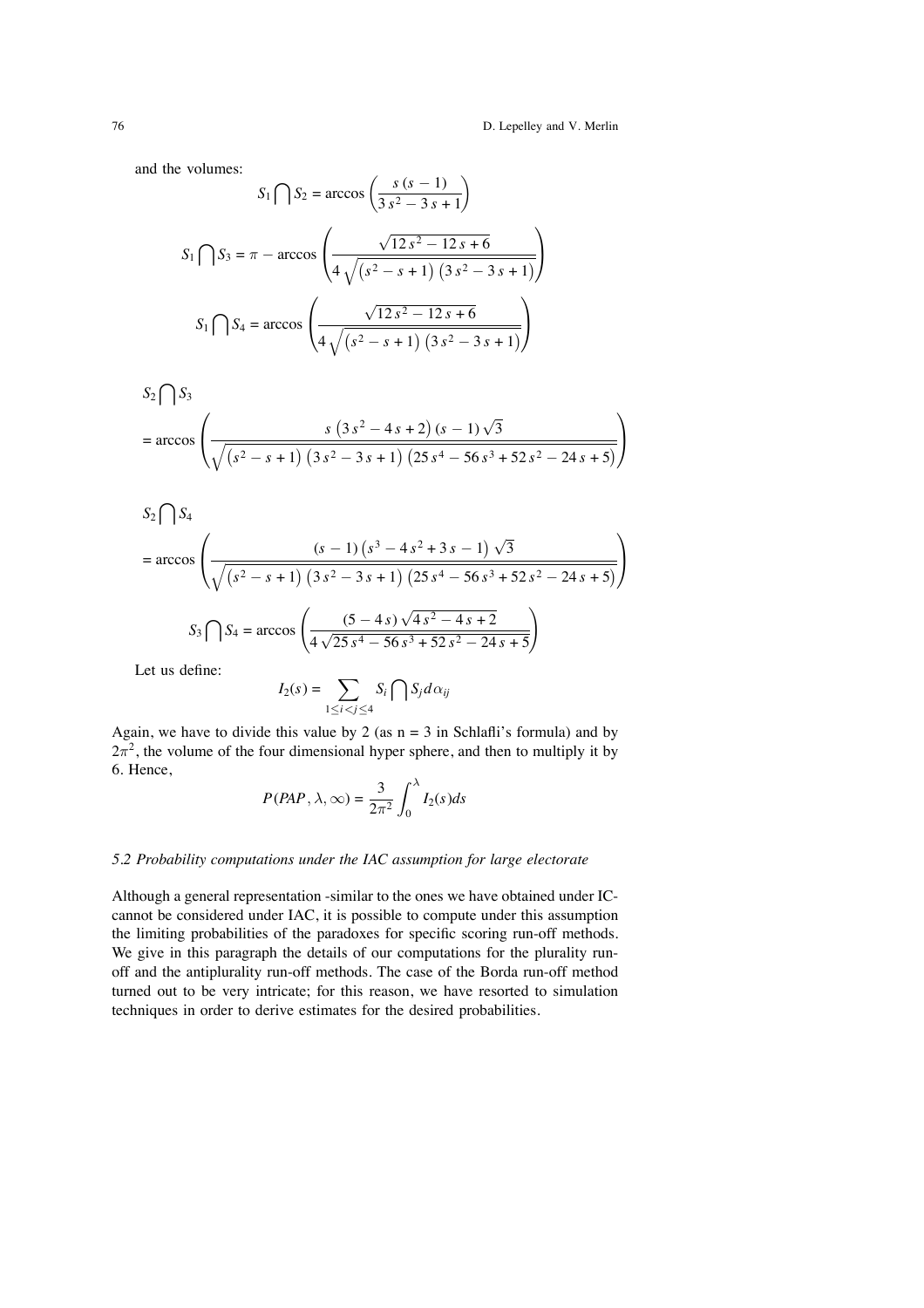and the volumes:

$$
S_1 \bigcap S_2 = \arccos\left(\frac{s (s - 1)}{3 s^2 - 3 s + 1}\right)
$$

$$
S_1 \bigcap S_3 = \pi - \arccos\left(\frac{\sqrt{12 s^2 - 12 s + 6}}{4 \sqrt{(s^2 - s + 1)(3 s^2 - 3 s + 1)}}\right)
$$

$$
S_1 \bigcap S_4 = \arccos\left(\frac{\sqrt{12 s^2 - 12 s + 6}}{4 \sqrt{(s^2 - s + 1)(3 s^2 - 3 s + 1)}}\right)
$$

$$
S_2 \bigcap S_3
$$
  
= arccos  $\left( \frac{s (3 s^2 - 4 s + 2) (s - 1) \sqrt{3}}{\sqrt{(s^2 - s + 1) (3 s^2 - 3 s + 1) (25 s^4 - 56 s^3 + 52 s^2 - 24 s + 5)}} \right)$ 

$$
S_2 \bigcap S_4
$$
  
= arccos  $\left( \frac{(s-1) (s^3 - 4 s^2 + 3 s - 1) \sqrt{3}}{\sqrt{(s^2 - s + 1) (3 s^2 - 3 s + 1) (25 s^4 - 56 s^3 + 52 s^2 - 24 s + 5)}} \right)$   

$$
S_3 \bigcap S_4 = \arccos \left( \frac{(5 - 4 s) \sqrt{4 s^2 - 4 s + 2}}{4 \sqrt{25 s^4 - 56 s^3 + 52 s^2 - 24 s + 5}} \right)
$$

Let us define:

$$
I_2(s) = \sum_{1 \le i < j \le 4} S_i \bigcap S_j d\alpha_{ij}
$$

Again, we have to divide this value by 2 (as  $n = 3$  in Schlafli's formula) and by  $2\pi^2$ , the volume of the four dimensional hyper sphere, and then to multiply it by 6. Hence,

$$
P(PAP, \lambda, \infty) = \frac{3}{2\pi^2} \int_0^{\lambda} I_2(s) ds
$$

#### *5.2 Probability computations under the IAC assumption for large electorate*

Although a general representation -similar to the ones we have obtained under ICcannot be considered under IAC, it is possible to compute under this assumption the limiting probabilities of the paradoxes for specific scoring run-off methods. We give in this paragraph the details of our computations for the plurality runoff and the antiplurality run-off methods. The case of the Borda run-off method turned out to be very intricate; for this reason, we have resorted to simulation techniques in order to derive estimates for the desired probabilities.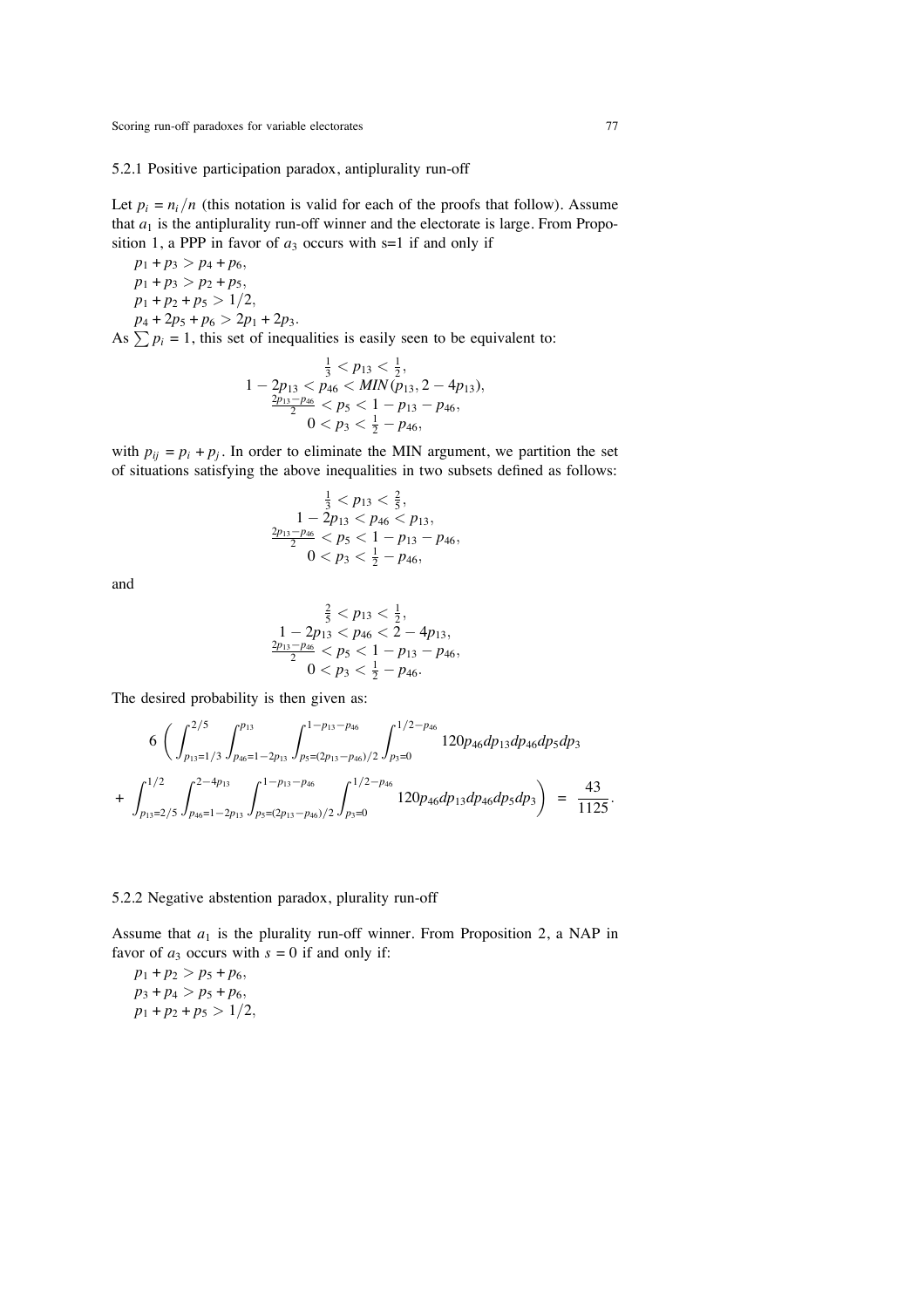#### 5.2.1 Positive participation paradox, antiplurality run-off

Let  $p_i = n_i/n$  (this notation is valid for each of the proofs that follow). Assume that  $a_1$  is the antiplurality run-off winner and the electorate is large. From Proposition 1, a PPP in favor of  $a_3$  occurs with s=1 if and only if

 $p_1 + p_3 > p_4 + p_6$  $p_1 + p_3 > p_2 + p_5$  $p_1 + p_2 + p_5 > 1/2$ ,  $p_4 + 2p_5 + p_6 > 2p_1 + 2p_3$ .

As  $\sum p_i = 1$ , this set of inequalities is easily seen to be equivalent to:

$$
\frac{\frac{1}{3} < p_{13} < \frac{1}{2}, \quad p_{14} < p_{46} < MIN(p_{13}, 2 - 4p_{13}), \quad p_{15} - p_{46} < p_5 < 1 - p_{13} - p_{46}, \quad 0 < p_3 < \frac{1}{2} - p_{46},
$$

with  $p_{ii} = p_i + p_j$ . In order to eliminate the MIN argument, we partition the set of situations satisfying the above inequalities in two subsets defined as follows:

$$
\frac{1}{3} < p_{13} < \frac{2}{5}, \\
1 - 2p_{13} < p_{46} < p_{13}, \\
\frac{2p_{13} - p_{46}}{2} < p_5 < 1 - p_{13} - p_{46}, \\
0 < p_3 < \frac{1}{2} - p_{46},
$$

and

$$
\frac{\frac{2}{5} < p_{13} < \frac{1}{2}, \\ 1 - 2p_{13} < p_{46} < 2 - 4p_{13}, \\ \frac{2p_{13} - p_{46}}{2} < p_5 < 1 - p_{13} - p_{46}, \\ 0 < p_3 < \frac{1}{2} - p_{46}.
$$

The desired probability is then given as:

$$
6\left(\int_{p_{13}=1/3}^{2/5}\int_{p_{46}=1-2p_{13}}^{p_{13}}\int_{p_5=(2p_{13}-p_{46})/2}^{1-p_{13}-p_{46}}\int_{p_3=0}^{1/2-p_{46}}120p_{46}dp_{13}dp_{46}dp_5dp_3\right) + \int_{p_{13}=2/5}^{1/2}\int_{p_{46}=1-2p_{13}}^{2-4p_{13}}\int_{p_5=(2p_{13}-p_{46})/2}^{1-p_{13}-p_{46}}\int_{p_3=0}^{1/2-p_{46}}120p_{46}dp_{13}dp_{46}dp_5dp_3\right) = \frac{43}{1125}.
$$

#### 5.2.2 Negative abstention paradox, plurality run-off

Assume that  $a_1$  is the plurality run-off winner. From Proposition 2, a NAP in favor of  $a_3$  occurs with  $s = 0$  if and only if:

 $p_1 + p_2 > p_5 + p_6$  $p_3 + p_4 > p_5 + p_6$  $p_1 + p_2 + p_5 > 1/2$ ,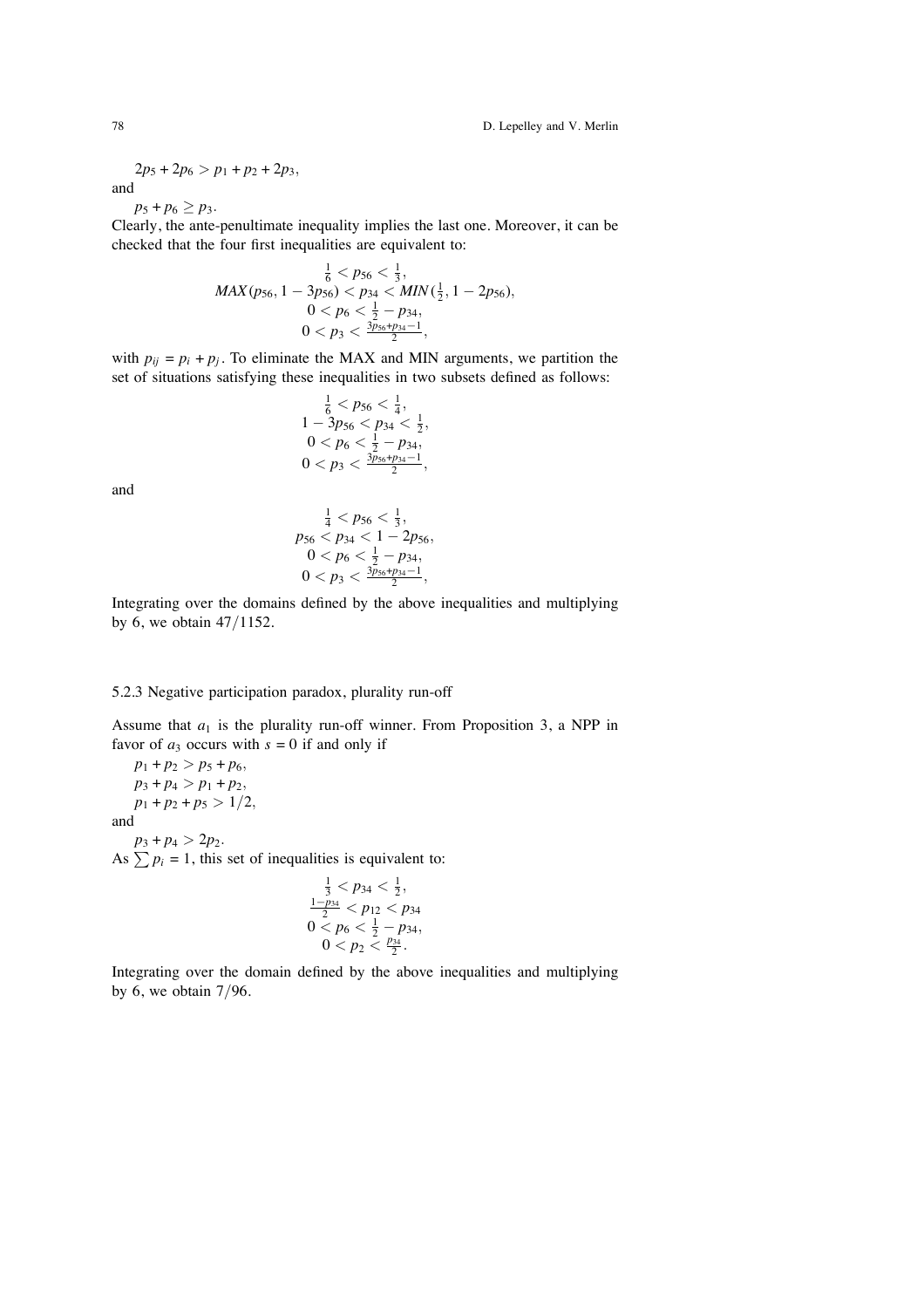78 D. Lepelley and V. Merlin

$$
2p_5 + 2p_6 > p_1 + p_2 + 2p_3,
$$

and

 $p_5 + p_6 \geq p_3$ .

Clearly, the ante-penultimate inequality implies the last one. Moreover, it can be checked that the four first inequalities are equivalent to:

$$
MAX(p_{56}, 1 - 3p_{56}) < p_{34} < MIN\left(\frac{1}{2}, 1 - 2p_{56}\right), \ 0 < p_{6} < \frac{1}{2} - p_{34}, \ 0 < p_{3} < \frac{3p_{56} + p_{34} - 1}{2},
$$

with  $p_{ij} = p_i + p_j$ . To eliminate the MAX and MIN arguments, we partition the set of situations satisfying these inequalities in two subsets defined as follows:

$$
\frac{1}{6} < p_{56} < \frac{1}{4}, \\
1 - 3p_{56} < p_{34} < \frac{1}{2}, \\
0 < p_{6} < \frac{1}{2} - p_{34}, \\
0 < p_{3} < \frac{3p_{56} + p_{34} - 1}{2},
$$

and

$$
\begin{array}{c}\n\frac{1}{4} < p_{56} < \frac{1}{3}, \\
p_{56} < p_{34} < 1 - 2p_{56}, \\
0 < p_{6} < \frac{1}{2} - p_{34}, \\
0 < p_{3} < \frac{3p_{56} + p_{34} - 1}{2},\n\end{array}
$$

Integrating over the domains defined by the above inequalities and multiplying by 6, we obtain 47/1152.

#### 5.2.3 Negative participation paradox, plurality run-off

Assume that  $a_1$  is the plurality run-off winner. From Proposition 3, a NPP in favor of  $a_3$  occurs with  $s = 0$  if and only if

 $p_1 + p_2 > p_5 + p_6$  $p_3 + p_4 > p_1 + p_2$  $p_1 + p_2 + p_5 > 1/2$ ,

and

 $p_3 + p_4 > 2p_2$ . As  $\sum p_i = 1$ , this set of inequalities is equivalent to:

$$
\frac{\frac{1}{3} < p_{34} < \frac{1}{2}, \\ \frac{1-p_{34}}{2} < p_{12} < p_{34} \\ 0 < p_6 < \frac{1}{2} - p_{34}, \\ 0 < p_2 < \frac{p_{34}}{2}.
$$

Integrating over the domain defined by the above inequalities and multiplying by 6, we obtain  $7/96$ .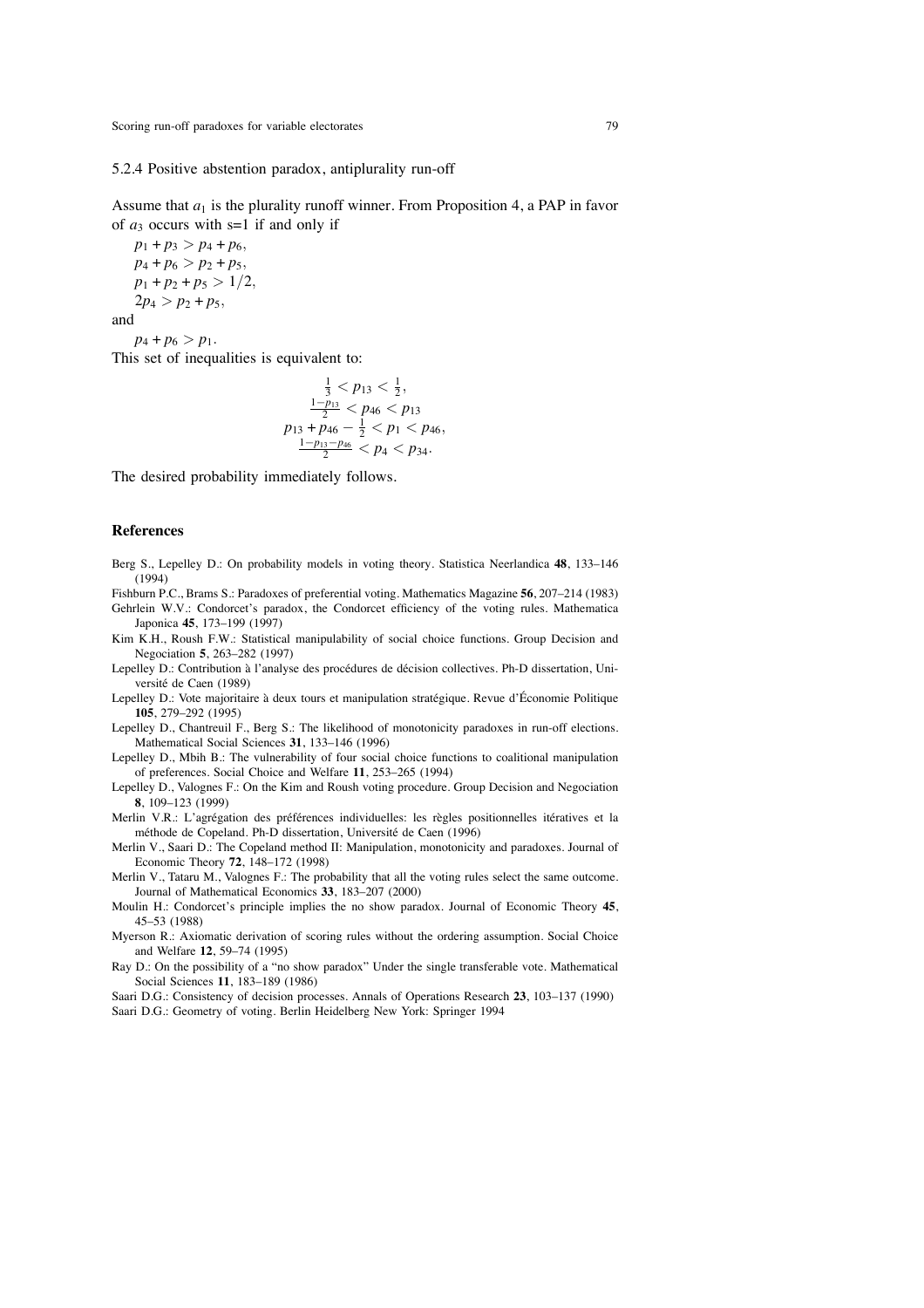#### 5.2.4 Positive abstention paradox, antiplurality run-off

Assume that  $a_1$  is the plurality runoff winner. From Proposition 4, a PAP in favor of  $a_3$  occurs with s=1 if and only if

 $p_1 + p_3 > p_4 + p_6$  $p_4 + p_6 > p_2 + p_5$  $p_1 + p_2 + p_5 > 1/2$ ,  $2p_4 > p_2 + p_5$ 

and

 $p_4 + p_6 > p_1$ .

This set of inequalities is equivalent to:

$$
\frac{\frac{1}{3} < p_{13} < \frac{1}{2}, \\ \frac{1-p_{13}}{2} < p_{46} < p_{13} \\ p_{13} + p_{46} - \frac{1}{2} < p_1 < p_{46}, \\ \frac{1-p_{13}-p_{46}}{2} < p_4 < p_{34}.
$$

The desired probability immediately follows.

## **References**

- Berg S., Lepelley D.: On probability models in voting theory. Statistica Neerlandica **48**, 133–146 (1994)
- Fishburn P.C., Brams S.: Paradoxes of preferential voting. Mathematics Magazine **56**, 207–214 (1983)
- Gehrlein W.V.: Condorcet's paradox, the Condorcet efficiency of the voting rules. Mathematica Japonica **45**, 173–199 (1997)
- Kim K.H., Roush F.W.: Statistical manipulability of social choice functions. Group Decision and Negociation **5**, 263–282 (1997)
- Lepelley D.: Contribution à l'analyse des procédures de décision collectives. Ph-D dissertation, Université de Caen (1989)
- Lepelley D.: Vote majoritaire à deux tours et manipulation stratégique. Revue d'Économie Politique **105**, 279–292 (1995)
- Lepelley D., Chantreuil F., Berg S.: The likelihood of monotonicity paradoxes in run-off elections. Mathematical Social Sciences **31**, 133–146 (1996)
- Lepelley D., Mbih B.: The vulnerability of four social choice functions to coalitional manipulation of preferences. Social Choice and Welfare **11**, 253–265 (1994)
- Lepelley D., Valognes F.: On the Kim and Roush voting procedure. Group Decision and Negociation **8**, 109–123 (1999)
- Merlin V.R.: L'agrégation des préférences individuelles: les règles positionnelles itératives et la méthode de Copeland. Ph-D dissertation, Université de Caen (1996)
- Merlin V., Saari D.: The Copeland method II: Manipulation, monotonicity and paradoxes. Journal of Economic Theory **72**, 148–172 (1998)
- Merlin V., Tataru M., Valognes F.: The probability that all the voting rules select the same outcome. Journal of Mathematical Economics **33**, 183–207 (2000)
- Moulin H.: Condorcet's principle implies the no show paradox. Journal of Economic Theory **45**, 45–53 (1988)
- Myerson R.: Axiomatic derivation of scoring rules without the ordering assumption. Social Choice and Welfare **12**, 59–74 (1995)
- Ray D.: On the possibility of a "no show paradox" Under the single transferable vote. Mathematical Social Sciences **11**, 183–189 (1986)
- Saari D.G.: Consistency of decision processes. Annals of Operations Research **23**, 103–137 (1990)
- Saari D.G.: Geometry of voting. Berlin Heidelberg New York: Springer 1994